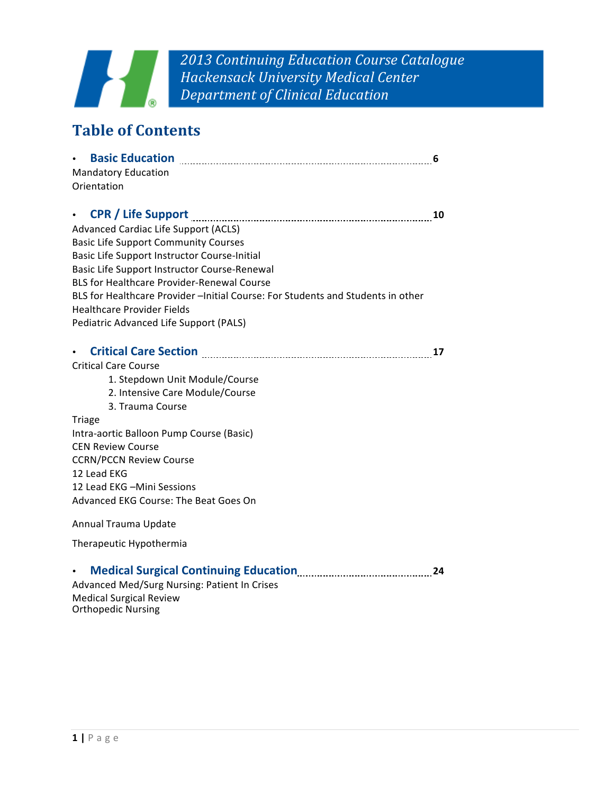

*2013 Continuing Education Course Catalogue Hackensack University Medical Center Department of Clinical Education*

# **Table of Contents**

| $\bullet$                                                                                                                                            | 6  |
|------------------------------------------------------------------------------------------------------------------------------------------------------|----|
| <b>Mandatory Education</b>                                                                                                                           |    |
| Orientation                                                                                                                                          |    |
|                                                                                                                                                      | 10 |
| Advanced Cardiac Life Support (ACLS)                                                                                                                 |    |
| <b>Basic Life Support Community Courses</b>                                                                                                          |    |
| Basic Life Support Instructor Course-Initial                                                                                                         |    |
| Basic Life Support Instructor Course-Renewal                                                                                                         |    |
| <b>BLS for Healthcare Provider-Renewal Course</b>                                                                                                    |    |
| BLS for Healthcare Provider - Initial Course: For Students and Students in other                                                                     |    |
| <b>Healthcare Provider Fields</b>                                                                                                                    |    |
| Pediatric Advanced Life Support (PALS)                                                                                                               |    |
|                                                                                                                                                      |    |
| Critical Care Section [11] [2010] [2010] [2010] [2010] [2010] [2010] [2010] [2010] [2010] [2010] [2010] [2010<br>$\bullet$ .<br><br><br><br><br><br> | 17 |
| <b>Critical Care Course</b>                                                                                                                          |    |
| 1. Stepdown Unit Module/Course                                                                                                                       |    |
| 2. Intensive Care Module/Course                                                                                                                      |    |
| 3. Trauma Course                                                                                                                                     |    |
| <b>Triage</b>                                                                                                                                        |    |
| Intra-aortic Balloon Pump Course (Basic)                                                                                                             |    |
| <b>CEN Review Course</b>                                                                                                                             |    |
| <b>CCRN/PCCN Review Course</b>                                                                                                                       |    |
| 12 Lead EKG                                                                                                                                          |    |
| 12 Lead EKG - Mini Sessions                                                                                                                          |    |
| Advanced EKG Course: The Beat Goes On                                                                                                                |    |
|                                                                                                                                                      |    |

Annual Trauma Update

Therapeutic Hypothermia

|  | <b>Medical Surgical Continuing Education</b> |  |  |
|--|----------------------------------------------|--|--|
|--|----------------------------------------------|--|--|

Advanced Med/Surg Nursing: Patient In Crises Medical Surgical Review Orthopedic Nursing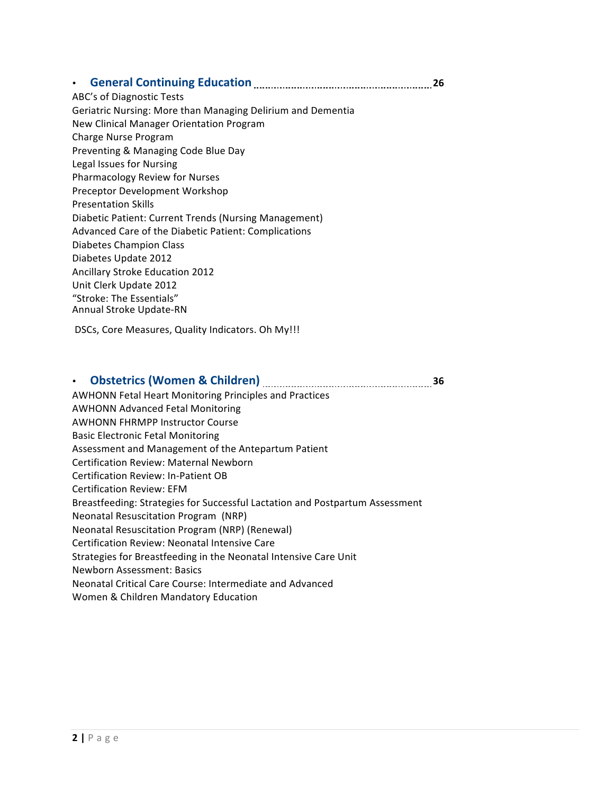#### • General Continuing Education *CONDER CONDER CONDER (26*

ABC's of Diagnostic Tests Geriatric Nursing: More than Managing Delirium and Dementia New Clinical Manager Orientation Program Charge Nurse Program Preventing & Managing Code Blue Day Legal Issues for Nursing Pharmacology Review for Nurses Preceptor Development Workshop Presentation Skills Diabetic Patient: Current Trends (Nursing Management) Advanced Care of the Diabetic Patient: Complications Diabetes Champion Class Diabetes Update 2012 Ancillary Stroke Education 2012 Unit Clerk Update 2012 "Stroke: The Essentials" Annual Stroke Update-RN

DSCs, Core Measures, Quality Indicators. Oh My!!!

# • **Obstetrics (Women & Children) 36**

AWHONN Fetal Heart Monitoring Principles and Practices AWHONN Advanced Fetal Monitoring **AWHONN FHRMPP Instructor Course** Basic Electronic Fetal Monitoring Assessment and Management of the Antepartum Patient Certification Review: Maternal Newborn Certification Review: In-Patient OB Certification Review: EFM Breastfeeding: Strategies for Successful Lactation and Postpartum Assessment Neonatal Resuscitation Program (NRP) Neonatal Resuscitation Program (NRP) (Renewal) Certification Review: Neonatal Intensive Care Strategies for Breastfeeding in the Neonatal Intensive Care Unit Newborn Assessment: Basics Neonatal Critical Care Course: Intermediate and Advanced Women & Children Mandatory Education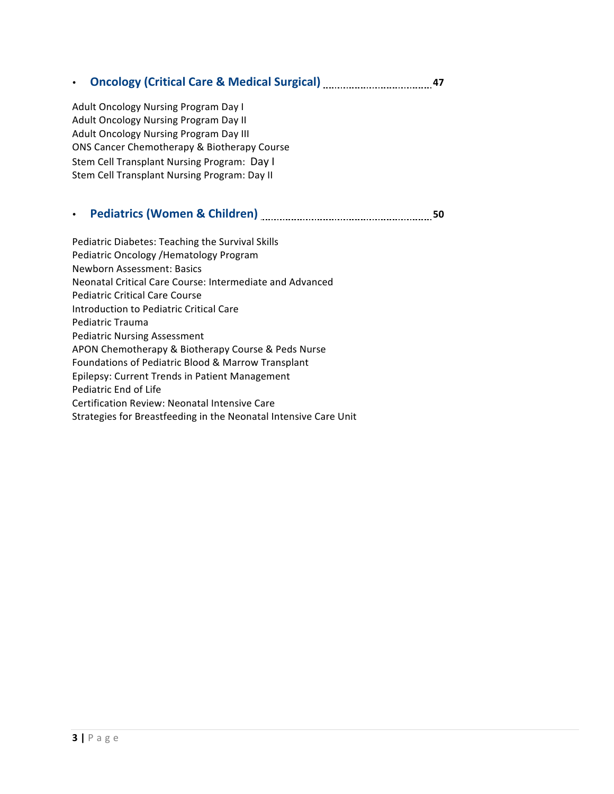### • Oncology (Critical Care & Medical Surgical) **Manual Aristope Contains 197**

Adult Oncology Nursing Program Day I Adult Oncology Nursing Program Day II Adult Oncology Nursing Program Day III ONS Cancer Chemotherapy & Biotherapy Course Stem Cell Transplant Nursing Program: Day I Stem Cell Transplant Nursing Program: Day II

# • **Pediatrics (Women & Children) 1999 1000 1000 1000 1000 1000 1000 1000 1000 1000 1000 1000 1000 1000 1000 1000 1000 1000 1000 1000 1000 1000 1000 1000 1000 1000 1000**

Pediatric Diabetes: Teaching the Survival Skills Pediatric Oncology /Hematology Program Newborn Assessment: Basics Neonatal Critical Care Course: Intermediate and Advanced Pediatric Critical Care Course Introduction to Pediatric Critical Care Pediatric Trauma Pediatric Nursing Assessment APON Chemotherapy & Biotherapy Course & Peds Nurse Foundations of Pediatric Blood & Marrow Transplant Epilepsy: Current Trends in Patient Management Pediatric End of Life Certification Review: Neonatal Intensive Care Strategies for Breastfeeding in the Neonatal Intensive Care Unit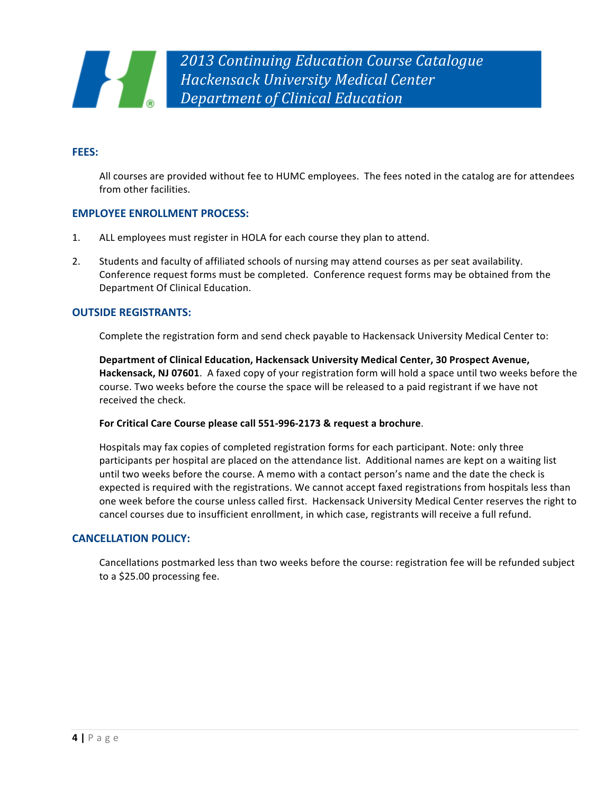#### **FEES:**

All courses are provided without fee to HUMC employees. The fees noted in the catalog are for attendees from other facilities.

#### **EMPLOYEE ENROLLMENT PROCESS:**

- 1. ALL employees must register in HOLA for each course they plan to attend.
- 2. Students and faculty of affiliated schools of nursing may attend courses as per seat availability. Conference request forms must be completed. Conference request forms may be obtained from the Department Of Clinical Education.

#### **OUTSIDE REGISTRANTS:**

Complete the registration form and send check payable to Hackensack University Medical Center to:

Department of Clinical Education, Hackensack University Medical Center, 30 Prospect Avenue, **Hackensack, NJ 07601**. A faxed copy of your registration form will hold a space until two weeks before the course. Two weeks before the course the space will be released to a paid registrant if we have not received the check.

#### For Critical Care Course please call 551-996-2173 & request a brochure.

Hospitals may fax copies of completed registration forms for each participant. Note: only three participants per hospital are placed on the attendance list. Additional names are kept on a waiting list until two weeks before the course. A memo with a contact person's name and the date the check is expected is required with the registrations. We cannot accept faxed registrations from hospitals less than one week before the course unless called first. Hackensack University Medical Center reserves the right to cancel courses due to insufficient enrollment, in which case, registrants will receive a full refund.

#### **CANCELLATION POLICY:**

Cancellations postmarked less than two weeks before the course: registration fee will be refunded subject to a \$25.00 processing fee.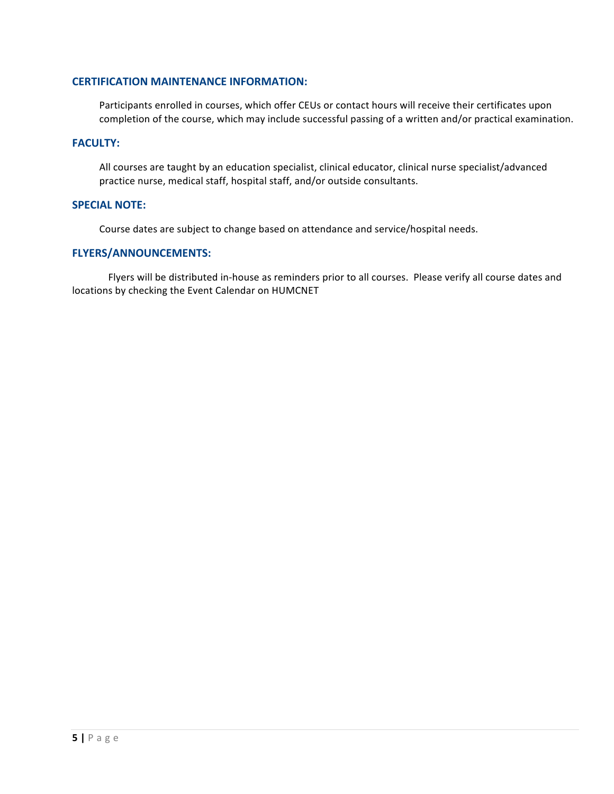#### **CERTIFICATION MAINTENANCE INFORMATION:**

Participants enrolled in courses, which offer CEUs or contact hours will receive their certificates upon completion of the course, which may include successful passing of a written and/or practical examination.

#### **FACULTY:**

All courses are taught by an education specialist, clinical educator, clinical nurse specialist/advanced practice nurse, medical staff, hospital staff, and/or outside consultants.

#### **SPECIAL NOTE:**

Course dates are subject to change based on attendance and service/hospital needs.

#### **FLYERS/ANNOUNCEMENTS:**

Flyers will be distributed in-house as reminders prior to all courses. Please verify all course dates and locations by checking the Event Calendar on HUMCNET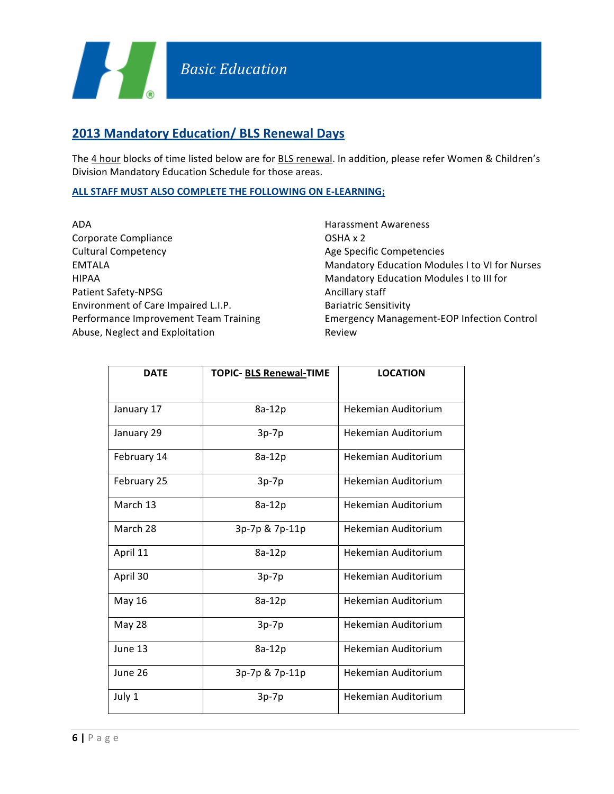# **2013 Mandatory Education/ BLS Renewal Days**

The 4 hour blocks of time listed below are for BLS renewal. In addition, please refer Women & Children's Division Mandatory Education Schedule for those areas.

#### **ALL STAFF MUST ALSO COMPLETE THE FOLLOWING ON E-LEARNING;**

| ADA                                   |
|---------------------------------------|
| Corporate Compliance                  |
| <b>Cultural Competency</b>            |
| EMTALA                                |
| <b>HIPAA</b>                          |
| Patient Safety-NPSG                   |
| Environment of Care Impaired L.I.P.   |
| Performance Improvement Team Training |
| Abuse, Neglect and Exploitation       |

Harassment Awareness OSHA x 2 Age Specific Competencies Mandatory Education Modules I to VI for Nurses Mandatory Education Modules I to III for Ancillary staff Bariatric Sensitivity Emergency Management-EOP Infection Control Review

| <b>DATE</b> | TOPIC- BLS Renewal-TIME | <b>LOCATION</b>     |
|-------------|-------------------------|---------------------|
|             |                         |                     |
| January 17  | 8a-12p                  | Hekemian Auditorium |
| January 29  | $3p-7p$                 | Hekemian Auditorium |
| February 14 | 8a-12p                  | Hekemian Auditorium |
| February 25 | $3p-7p$                 | Hekemian Auditorium |
| March 13    | 8a-12p                  | Hekemian Auditorium |
| March 28    | 3p-7p & 7p-11p          | Hekemian Auditorium |
| April 11    | 8a-12p                  | Hekemian Auditorium |
| April 30    | $3p-7p$                 | Hekemian Auditorium |
| May 16      | 8a-12p                  | Hekemian Auditorium |
| May 28      | $3p-7p$                 | Hekemian Auditorium |
| June 13     | 8a-12p                  | Hekemian Auditorium |
| June 26     | 3p-7p & 7p-11p          | Hekemian Auditorium |
| July 1      | $3p-7p$                 | Hekemian Auditorium |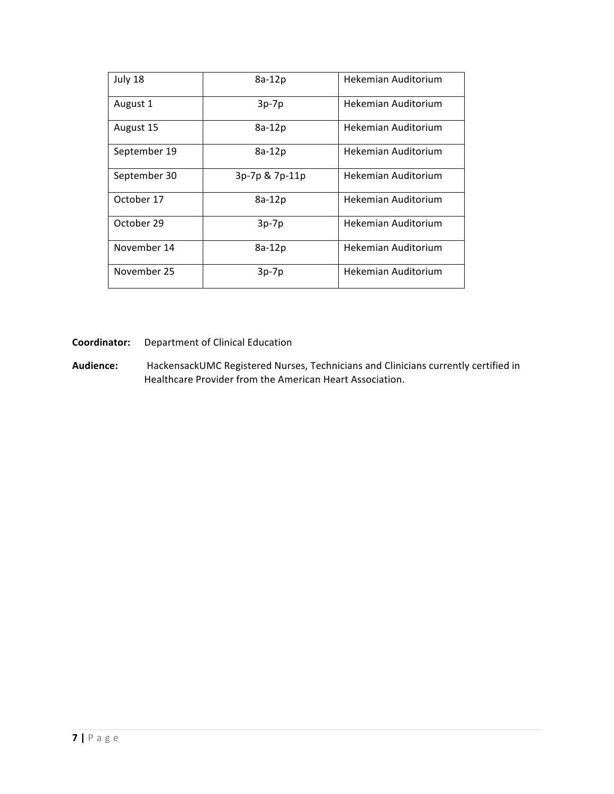| July 18      | 8a-12p         | Hekemian Auditorium |
|--------------|----------------|---------------------|
| August 1     | $3p-7p$        | Hekemian Auditorium |
| August 15    | 8a-12p         | Hekemian Auditorium |
| September 19 | $8a-12p$       | Hekemian Auditorium |
| September 30 | 3p-7p & 7p-11p | Hekemian Auditorium |
| October 17   | 8a-12p         | Hekemian Auditorium |
| October 29   | $3p-7p$        | Hekemian Auditorium |
| November 14  | 8a-12p         | Hekemian Auditorium |
| November 25  | $3p-7p$        | Hekemian Auditorium |

**Coordinator:** Department of Clinical Education

Audience: HackensackUMC Registered Nurses, Technicians and Clinicians currently certified in Healthcare Provider from the American Heart Association.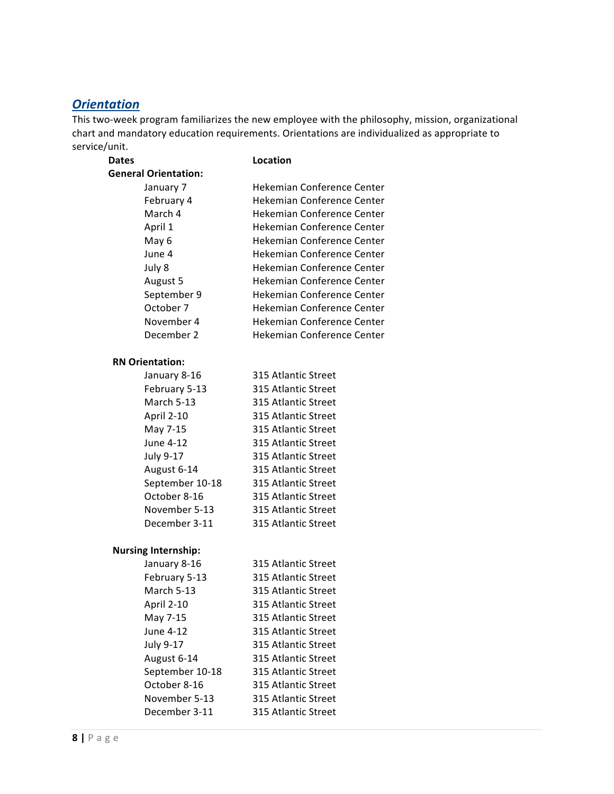# *Orientation*

This two-week program familiarizes the new employee with the philosophy, mission, organizational chart and mandatory education requirements. Orientations are individualized as appropriate to service/unit.

| Location                   |
|----------------------------|
|                            |
| Hekemian Conference Center |
| Hekemian Conference Center |
| Hekemian Conference Center |
| Hekemian Conference Center |
| Hekemian Conference Center |
| Hekemian Conference Center |
| Hekemian Conference Center |
| Hekemian Conference Center |
| Hekemian Conference Center |
| Hekemian Conference Center |
| Hekemian Conference Center |
| Hekemian Conference Center |
|                            |

#### **RN Orientation:**

| January 8-16      | 315 Atlantic Street |
|-------------------|---------------------|
| February 5-13     | 315 Atlantic Street |
| <b>March 5-13</b> | 315 Atlantic Street |
| April 2-10        | 315 Atlantic Street |
| May 7-15          | 315 Atlantic Street |
| June 4-12         | 315 Atlantic Street |
| July 9-17         | 315 Atlantic Street |
| August 6-14       | 315 Atlantic Street |
| September 10-18   | 315 Atlantic Street |
| October 8-16      | 315 Atlantic Street |
| November 5-13     | 315 Atlantic Street |
| December 3-11     | 315 Atlantic Street |

#### **Nursing Internship:**

| January 8-16      | 315 Atlantic Street |
|-------------------|---------------------|
| February 5-13     | 315 Atlantic Street |
| <b>March 5-13</b> | 315 Atlantic Street |
| April 2-10        | 315 Atlantic Street |
| May 7-15          | 315 Atlantic Street |
| June 4-12         | 315 Atlantic Street |
| July 9-17         | 315 Atlantic Street |
| August 6-14       | 315 Atlantic Street |
| September 10-18   | 315 Atlantic Street |
| October 8-16      | 315 Atlantic Street |
| November 5-13     | 315 Atlantic Street |
| December 3-11     | 315 Atlantic Street |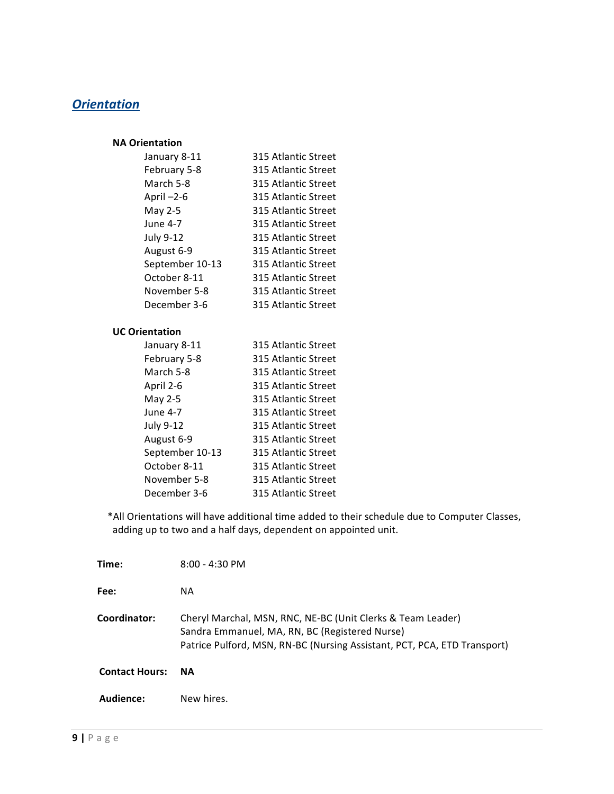# *Orientation*

#### **NA Orientation**

| January 8-11    | 315 Atlantic Street |
|-----------------|---------------------|
| February 5-8    | 315 Atlantic Street |
| March 5-8       | 315 Atlantic Street |
| April-2-6       | 315 Atlantic Street |
| May 2-5         | 315 Atlantic Street |
| June 4-7        | 315 Atlantic Street |
| July 9-12       | 315 Atlantic Street |
| August 6-9      | 315 Atlantic Street |
| September 10-13 | 315 Atlantic Street |
| October 8-11    | 315 Atlantic Street |
| November 5-8    | 315 Atlantic Street |
| December 3-6    | 315 Atlantic Street |

#### **UC Orientation**

| January 8-11    | 315 Atlantic Street |
|-----------------|---------------------|
| February 5-8    | 315 Atlantic Street |
| March 5-8       | 315 Atlantic Street |
| April 2-6       | 315 Atlantic Street |
| May 2-5         | 315 Atlantic Street |
| June 4-7        | 315 Atlantic Street |
| July 9-12       | 315 Atlantic Street |
| August 6-9      | 315 Atlantic Street |
| September 10-13 | 315 Atlantic Street |
| October 8-11    | 315 Atlantic Street |
| November 5-8    | 315 Atlantic Street |
| December 3-6    | 315 Atlantic Street |

\*All Orientations will have additional time added to their schedule due to Computer Classes, adding up to two and a half days, dependent on appointed unit.

| Time:                 | $8:00 - 4:30$ PM                                                                                                                                                                          |
|-----------------------|-------------------------------------------------------------------------------------------------------------------------------------------------------------------------------------------|
| Fee:                  | NA.                                                                                                                                                                                       |
| Coordinator:          | Cheryl Marchal, MSN, RNC, NE-BC (Unit Clerks & Team Leader)<br>Sandra Emmanuel, MA, RN, BC (Registered Nurse)<br>Patrice Pulford, MSN, RN-BC (Nursing Assistant, PCT, PCA, ETD Transport) |
| <b>Contact Hours:</b> | <b>NA</b>                                                                                                                                                                                 |
| Audience:             | New hires.                                                                                                                                                                                |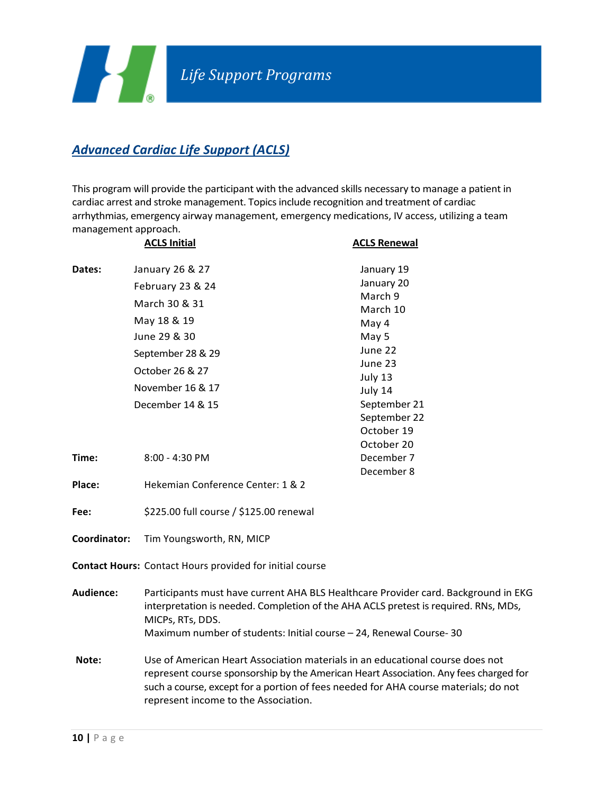

# **Advanced Cardiac Life Support (ACLS)**

This program will provide the participant with the advanced skills necessary to manage a patient in cardiac arrest and stroke management. Topics include recognition and treatment of cardiac arrhythmias, emergency airway management, emergency medications, IV access, utilizing a team management approach.

|                  | <b>ACLS Initial</b>                                                                                                                                                                                                                                                                                  | <b>ACLS Renewal</b>                                                                                                                                         |
|------------------|------------------------------------------------------------------------------------------------------------------------------------------------------------------------------------------------------------------------------------------------------------------------------------------------------|-------------------------------------------------------------------------------------------------------------------------------------------------------------|
| Dates:           | January 26 & 27<br>February 23 & 24<br>March 30 & 31<br>May 18 & 19<br>June 29 & 30<br>September 28 & 29<br>October 26 & 27<br>November 16 & 17<br>December 14 & 15                                                                                                                                  | January 19<br>January 20<br>March 9<br>March 10<br>May 4<br>May 5<br>June 22<br>June 23<br>July 13<br>July 14<br>September 21<br>September 22<br>October 19 |
| Time:            | $8:00 - 4:30$ PM                                                                                                                                                                                                                                                                                     | October 20<br>December 7<br>December 8                                                                                                                      |
| Place:           | Hekemian Conference Center: 1 & 2                                                                                                                                                                                                                                                                    |                                                                                                                                                             |
| Fee:             | \$225.00 full course / \$125.00 renewal                                                                                                                                                                                                                                                              |                                                                                                                                                             |
| Coordinator:     | Tim Youngsworth, RN, MICP                                                                                                                                                                                                                                                                            |                                                                                                                                                             |
|                  | Contact Hours: Contact Hours provided for initial course                                                                                                                                                                                                                                             |                                                                                                                                                             |
| <b>Audience:</b> | Participants must have current AHA BLS Healthcare Provider card. Background in EKG<br>interpretation is needed. Completion of the AHA ACLS pretest is required. RNs, MDs,<br>MICPs, RTs, DDS.<br>Maximum number of students: Initial course - 24, Renewal Course-30                                  |                                                                                                                                                             |
| Note:            | Use of American Heart Association materials in an educational course does not<br>represent course sponsorship by the American Heart Association. Any fees charged for<br>such a course, except for a portion of fees needed for AHA course materials; do not<br>represent income to the Association. |                                                                                                                                                             |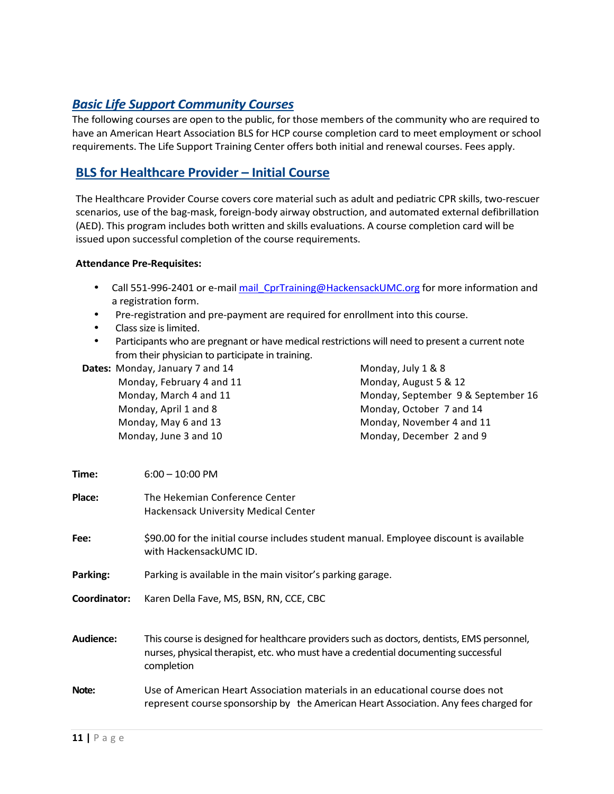#### *Basic Life Support Community Courses*

The following courses are open to the public, for those members of the community who are required to have an American Heart Association BLS for HCP course completion card to meet employment or school requirements. The Life Support Training Center offers both initial and renewal courses. Fees apply.

### **BLS for Healthcare Provider – Initial Course**

The Healthcare Provider Course covers core material such as adult and pediatric CPR skills, two-rescuer scenarios, use of the bag-mask, foreign-body airway obstruction, and automated external defibrillation (AED). This program includes both written and skills evaluations. A course completion card will be issued upon successful completion of the course requirements.

#### **Attendance Pre-Requisites:**

- Call 551-996-2401 or e-mail mail CprTraining@HackensackUMC.org for more information and a registration form.
- Pre-registration and pre-payment are required for enrollment into this course.
- Class size is limited.
- Participants who are pregnant or have medical restrictions will need to present a current note from their physician to participate in training.

**Dates:** Monday, January 7 and 14 Monday, February 4 and 11 Monday, March 4 and 11 Monday, April 1 and 8 Monday, May 6 and 13 Monday, June 3 and 10

Monday, July 1 & 8 Monday, August 5 & 12 Monday, September 9 & September 16 Monday, October 7 and 14 Monday, November 4 and 11 Monday, December 2 and 9

| Time:        | $6:00 - 10:00$ PM                                                                                                                                                                              |  |
|--------------|------------------------------------------------------------------------------------------------------------------------------------------------------------------------------------------------|--|
| Place:       | The Hekemian Conference Center<br><b>Hackensack University Medical Center</b>                                                                                                                  |  |
| Fee:         | \$90.00 for the initial course includes student manual. Employee discount is available<br>with HackensackUMC ID.                                                                               |  |
| Parking:     | Parking is available in the main visitor's parking garage.                                                                                                                                     |  |
| Coordinator: | Karen Della Fave, MS, BSN, RN, CCE, CBC                                                                                                                                                        |  |
| Audience:    | This course is designed for healthcare providers such as doctors, dentists, EMS personnel,<br>nurses, physical therapist, etc. who must have a credential documenting successful<br>completion |  |
| Note:        | Use of American Heart Association materials in an educational course does not<br>represent course sponsorship by the American Heart Association. Any fees charged for                          |  |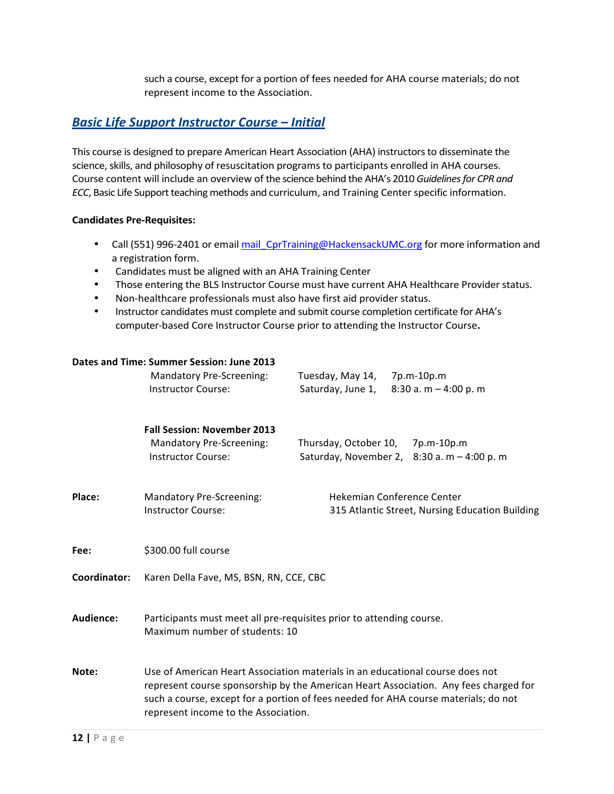such a course, except for a portion of fees needed for AHA course materials; do not represent income to the Association.

#### **Basic Life Support Instructor Course – Initial**

This course is designed to prepare American Heart Association (AHA) instructors to disseminate the science, skills, and philosophy of resuscitation programs to participants enrolled in AHA courses. Course content will include an overview of the science behind the AHA's 2010 *Guidelines for CPR and ECC*, Basic Life Support teaching methods and curriculum, and Training Center specific information.

#### **Candidates Pre-Requisites:**

- Call (551) 996-2401 or email mail CprTraining@HackensackUMC.org for more information and a registration form.
- Candidates must be aligned with an AHA Training Center
- Those entering the BLS Instructor Course must have current AHA Healthcare Provider status.
- Non-healthcare professionals must also have first aid provider status.
- Instructor candidates must complete and submit course completion certificate for AHA's computer-based Core Instructor Course prior to attending the Instructor Course.

|              | Dates and Time: Summer Session: June 2013<br><b>Mandatory Pre-Screening:</b><br><b>Instructor Course:</b>                                                                                                                                                                                            | Tuesday, May 14,<br>Saturday, June 1, | 7p.m-10p.m<br>8:30 a. m $-$ 4:00 p. m                                                |
|--------------|------------------------------------------------------------------------------------------------------------------------------------------------------------------------------------------------------------------------------------------------------------------------------------------------------|---------------------------------------|--------------------------------------------------------------------------------------|
|              | <b>Fall Session: November 2013</b><br><b>Mandatory Pre-Screening:</b><br><b>Instructor Course:</b>                                                                                                                                                                                                   | Thursday, October 10,                 | 7p.m-10p.m<br>Saturday, November 2, $8:30$ a. m $-4:00$ p. m                         |
| Place:       | <b>Mandatory Pre-Screening:</b><br><b>Instructor Course:</b>                                                                                                                                                                                                                                         |                                       | <b>Hekemian Conference Center</b><br>315 Atlantic Street, Nursing Education Building |
| Fee:         | \$300.00 full course                                                                                                                                                                                                                                                                                 |                                       |                                                                                      |
| Coordinator: | Karen Della Fave, MS, BSN, RN, CCE, CBC                                                                                                                                                                                                                                                              |                                       |                                                                                      |
| Audience:    | Participants must meet all pre-requisites prior to attending course.<br>Maximum number of students: 10                                                                                                                                                                                               |                                       |                                                                                      |
| Note:        | Use of American Heart Association materials in an educational course does not<br>represent course sponsorship by the American Heart Association. Any fees charged for<br>such a course, except for a portion of fees needed for AHA course materials; do not<br>represent income to the Association. |                                       |                                                                                      |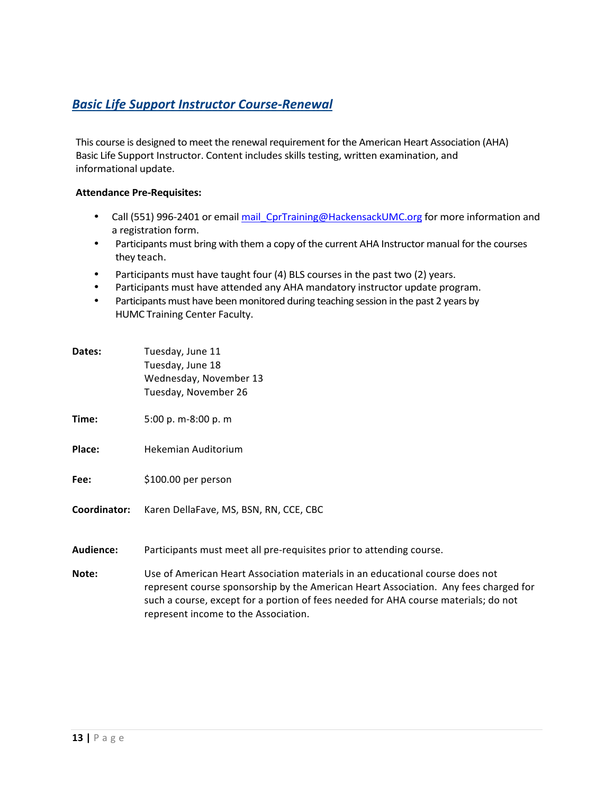# *Basic Life Support Instructor Course-Renewal*

This course is designed to meet the renewal requirement for the American Heart Association (AHA) Basic Life Support Instructor. Content includes skills testing, written examination, and informational update.

#### **Attendance Pre-Requisites:**

- Call (551) 996-2401 or email mail CprTraining@HackensackUMC.org for more information and a registration form.
- Participants must bring with them a copy of the current AHA Instructor manual for the courses they teach.
- Participants must have taught four (4) BLS courses in the past two (2) years.
- Participants must have attended any AHA mandatory instructor update program.
- Participants must have been monitored during teaching session in the past 2 years by HUMC Training Center Faculty.

| Dates:       | Tuesday, June 11<br>Tuesday, June 18<br>Wednesday, November 13<br>Tuesday, November 26 |
|--------------|----------------------------------------------------------------------------------------|
| Time:        | 5:00 p. m-8:00 p. m                                                                    |
| Place:       | Hekemian Auditorium                                                                    |
| Fee:         | \$100.00 per person                                                                    |
| Coordinator: | Karen DellaFave, MS, BSN, RN, CCE, CBC                                                 |
| Audience:    | Participants must meet all pre-requisites prior to attending course.                   |

**Note:** Use of American Heart Association materials in an educational course does not represent course sponsorship by the American Heart Association. Any fees charged for such a course, except for a portion of fees needed for AHA course materials; do not represent income to the Association.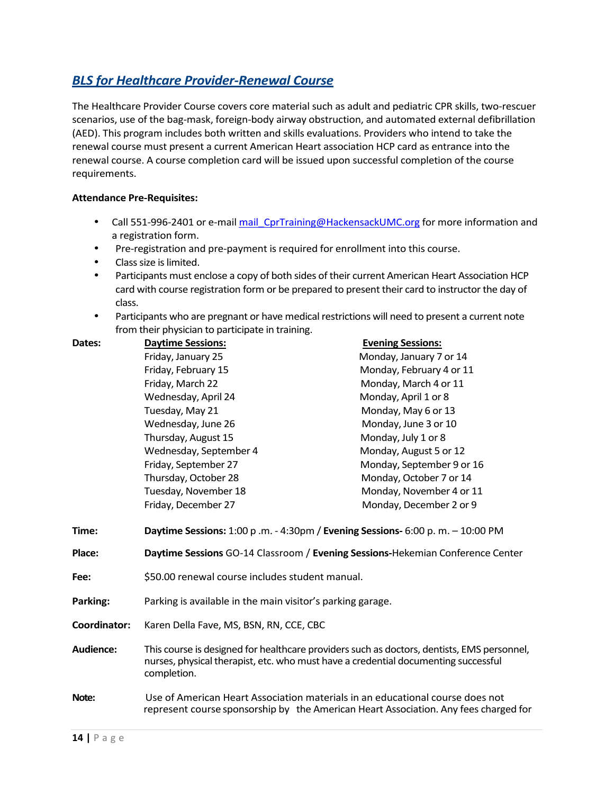# **BLS** for Healthcare Provider-Renewal Course

The Healthcare Provider Course covers core material such as adult and pediatric CPR skills, two-rescuer scenarios, use of the bag-mask, foreign-body airway obstruction, and automated external defibrillation (AED). This program includes both written and skills evaluations. Providers who intend to take the renewal course must present a current American Heart association HCP card as entrance into the renewal course. A course completion card will be issued upon successful completion of the course requirements.

#### **Attendance Pre-Requisites:**

- Call 551-996-2401 or e-mail mail CprTraining@HackensackUMC.org for more information and a registration form.
- Pre-registration and pre-payment is required for enrollment into this course.
- Class size is limited.
- Participants must enclose a copy of both sides of their current American Heart Association HCP card with course registration form or be prepared to present their card to instructor the day of class.
- Participants who are pregnant or have medical restrictions will need to present a current note from their physician to participate in training.

| Dates:           | <b>Daytime Sessions:</b>                                                                                                                                                                        | <b>Evening Sessions:</b>  |
|------------------|-------------------------------------------------------------------------------------------------------------------------------------------------------------------------------------------------|---------------------------|
|                  | Friday, January 25                                                                                                                                                                              | Monday, January 7 or 14   |
|                  | Friday, February 15                                                                                                                                                                             | Monday, February 4 or 11  |
|                  | Friday, March 22                                                                                                                                                                                | Monday, March 4 or 11     |
|                  | Wednesday, April 24                                                                                                                                                                             | Monday, April 1 or 8      |
|                  | Tuesday, May 21                                                                                                                                                                                 | Monday, May 6 or 13       |
|                  | Wednesday, June 26                                                                                                                                                                              | Monday, June 3 or 10      |
|                  | Thursday, August 15                                                                                                                                                                             | Monday, July 1 or 8       |
|                  | Wednesday, September 4                                                                                                                                                                          | Monday, August 5 or 12    |
|                  | Friday, September 27                                                                                                                                                                            | Monday, September 9 or 16 |
|                  | Thursday, October 28                                                                                                                                                                            | Monday, October 7 or 14   |
|                  | Tuesday, November 18                                                                                                                                                                            | Monday, November 4 or 11  |
|                  | Friday, December 27                                                                                                                                                                             | Monday, December 2 or 9   |
| Time:            | Daytime Sessions: 1:00 p .m. - 4:30pm / Evening Sessions- 6:00 p.m. - 10:00 PM                                                                                                                  |                           |
| Place:           | Daytime Sessions GO-14 Classroom / Evening Sessions-Hekemian Conference Center                                                                                                                  |                           |
| Fee:             | \$50.00 renewal course includes student manual.                                                                                                                                                 |                           |
| Parking:         | Parking is available in the main visitor's parking garage.                                                                                                                                      |                           |
| Coordinator:     | Karen Della Fave, MS, BSN, RN, CCE, CBC                                                                                                                                                         |                           |
| <b>Audience:</b> | This course is designed for healthcare providers such as doctors, dentists, EMS personnel,<br>nurses, physical therapist, etc. who must have a credential documenting successful<br>completion. |                           |
| Note:            | Use of American Heart Association materials in an educational course does not<br>represent course sponsorship by the American Heart Association. Any fees charged for                           |                           |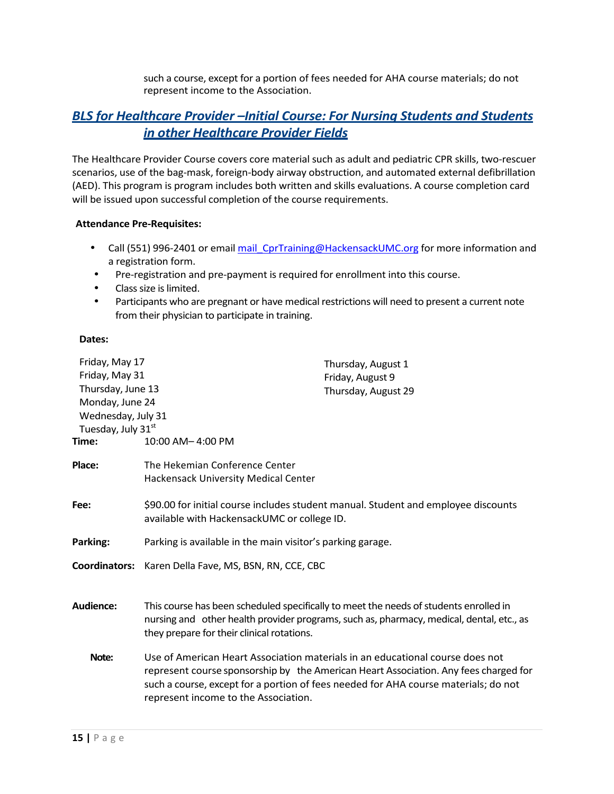such a course, except for a portion of fees needed for AHA course materials; do not represent income to the Association.

### **BLS** for Healthcare Provider –Initial Course: For Nursing Students and Students *in other Healthcare Provider Fields*

The Healthcare Provider Course covers core material such as adult and pediatric CPR skills, two-rescuer scenarios, use of the bag-mask, foreign-body airway obstruction, and automated external defibrillation (AED). This program is program includes both written and skills evaluations. A course completion card will be issued upon successful completion of the course requirements.

#### **Attendance Pre-Requisites:**

- Call (551) 996-2401 or email mail CprTraining@HackensackUMC.org for more information and a registration form.
- Pre-registration and pre-payment is required for enrollment into this course.
- Class size is limited.
- Participants who are pregnant or have medical restrictions will need to present a current note from their physician to participate in training.

#### Dates:

| Friday, May 17<br>Thursday, August 1<br>Friday, May 31<br>Friday, August 9<br>Thursday, June 13<br>Thursday, August 29<br>Monday, June 24<br>Wednesday, July 31<br>Tuesday, July 31st<br>Time:                                                                                                       |                                                    |
|------------------------------------------------------------------------------------------------------------------------------------------------------------------------------------------------------------------------------------------------------------------------------------------------------|----------------------------------------------------|
|                                                                                                                                                                                                                                                                                                      |                                                    |
| Hackensack University Medical Center                                                                                                                                                                                                                                                                 |                                                    |
| \$90.00 for initial course includes student manual. Student and employee discounts<br>available with HackensackUMC or college ID.                                                                                                                                                                    |                                                    |
| Parking is available in the main visitor's parking garage.                                                                                                                                                                                                                                           |                                                    |
| <b>Coordinators:</b><br>Karen Della Fave, MS, BSN, RN, CCE, CBC                                                                                                                                                                                                                                      |                                                    |
| This course has been scheduled specifically to meet the needs of students enrolled in<br>nursing and other health provider programs, such as, pharmacy, medical, dental, etc., as<br>they prepare for their clinical rotations.                                                                      |                                                    |
| Use of American Heart Association materials in an educational course does not<br>represent course sponsorship by the American Heart Association. Any fees charged for<br>such a course, except for a portion of fees needed for AHA course materials; do not<br>represent income to the Association. |                                                    |
|                                                                                                                                                                                                                                                                                                      | 10:00 AM-4:00 PM<br>The Hekemian Conference Center |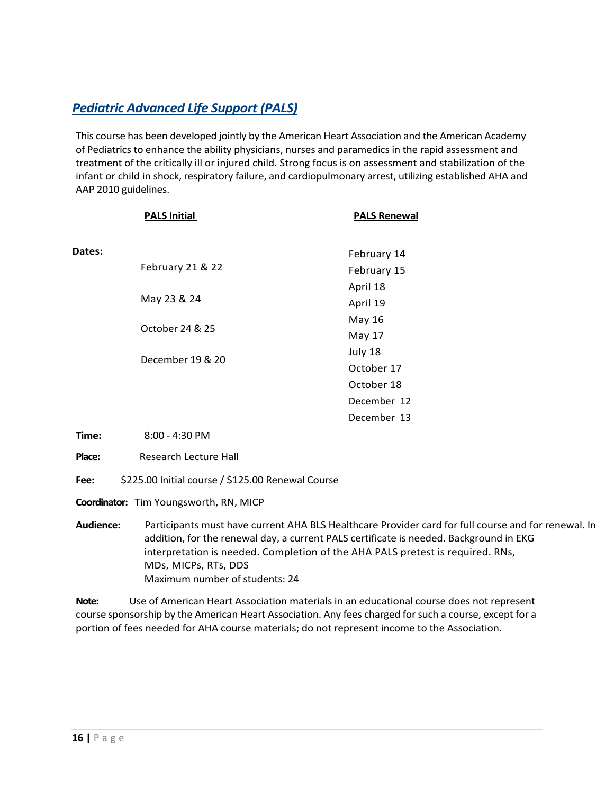# **Pediatric Advanced Life Support (PALS)**

This course has been developed jointly by the American Heart Association and the American Academy of Pediatrics to enhance the ability physicians, nurses and paramedics in the rapid assessment and treatment of the critically ill or injured child. Strong focus is on assessment and stabilization of the infant or child in shock, respiratory failure, and cardiopulmonary arrest, utilizing established AHA and AAP 2010 guidelines.

|        | <b>PALS Initial</b> | <b>PALS Renewal</b> |  |
|--------|---------------------|---------------------|--|
| Dates: |                     | February 14         |  |
|        | February 21 & 22    | February 15         |  |
|        |                     | April 18            |  |
|        | May 23 & 24         | April 19            |  |
|        |                     | May 16              |  |
|        | October 24 & 25     | May 17              |  |
|        | December 19 & 20    | July 18             |  |
|        |                     | October 17          |  |
|        |                     | October 18          |  |
|        |                     | December 12         |  |
|        |                     | December 13         |  |

**Time:** 8:00 - 4:30 PM

**Place:** Research Lecture Hall

Fee: \$225.00 Initial course / \$125.00 Renewal Course

**Coordinator:** Tim Youngsworth, RN, MICP

Audience: Participants must have current AHA BLS Healthcare Provider card for full course and for renewal. In addition, for the renewal day, a current PALS certificate is needed. Background in EKG interpretation is needed. Completion of the AHA PALS pretest is required. RNs, MDs, MICPs, RTs, DDS Maximum number of students: 24

**Note:** Use of American Heart Association materials in an educational course does not represent course sponsorship by the American Heart Association. Any fees charged for such a course, except for a portion of fees needed for AHA course materials; do not represent income to the Association.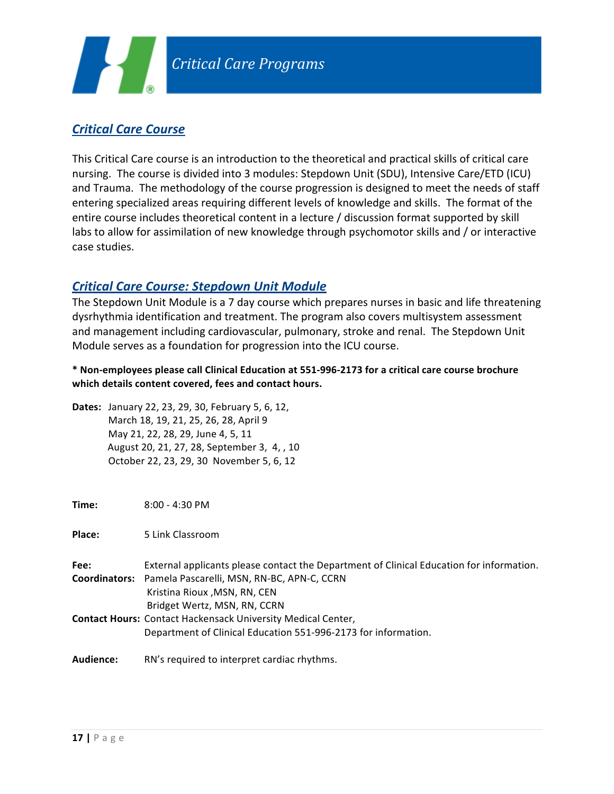

# *Critical Care Course*

This Critical Care course is an introduction to the theoretical and practical skills of critical care nursing. The course is divided into 3 modules: Stepdown Unit (SDU), Intensive Care/ETD (ICU) and Trauma. The methodology of the course progression is designed to meet the needs of staff entering specialized areas requiring different levels of knowledge and skills. The format of the entire course includes theoretical content in a lecture / discussion format supported by skill labs to allow for assimilation of new knowledge through psychomotor skills and / or interactive case studies.

#### *Critical Care Course: Stepdown Unit Module*

The Stepdown Unit Module is a 7 day course which prepares nurses in basic and life threatening dysrhythmia identification and treatment. The program also covers multisystem assessment and management including cardiovascular, pulmonary, stroke and renal. The Stepdown Unit Module serves as a foundation for progression into the ICU course.

\* Non-employees please call Clinical Education at 551-996-2173 for a critical care course brochure which details content covered, fees and contact hours.

**Dates:** January 22, 23, 29, 30, February 5, 6, 12, March 18, 19, 21, 25, 26, 28, April 9 May 21, 22, 28, 29, June 4, 5, 11 August 20, 21, 27, 28, September 3, 4, , 10 October 22, 23, 29, 30 November 5, 6, 12

**Time:** 8:00 - 4:30 PM

**Place:** 5 Link Classroom

| Fee: | External applicants please contact the Department of Clinical Education for information. |
|------|------------------------------------------------------------------------------------------|
|      | Coordinators: Pamela Pascarelli, MSN, RN-BC, APN-C, CCRN                                 |
|      | Kristina Rioux , MSN, RN, CEN                                                            |
|      | Bridget Wertz, MSN, RN, CCRN                                                             |
|      | <b>Contact Hours: Contact Hackensack University Medical Center,</b>                      |
|      | Department of Clinical Education 551-996-2173 for information.                           |
|      |                                                                                          |

**Audience:** RN's required to interpret cardiac rhythms.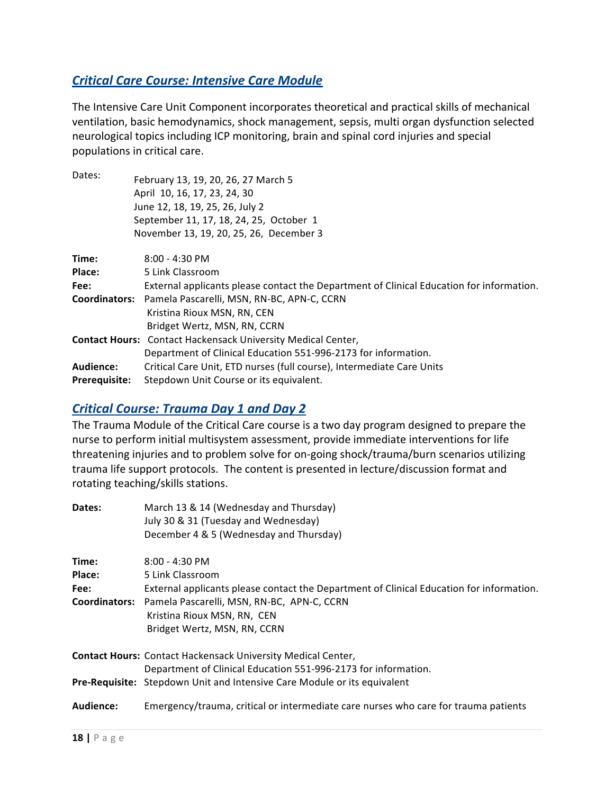# **Critical Care Course: Intensive Care Module**

The Intensive Care Unit Component incorporates theoretical and practical skills of mechanical ventilation, basic hemodynamics, shock management, sepsis, multi organ dysfunction selected neurological topics including ICP monitoring, brain and spinal cord injuries and special populations in critical care.

| Dates:               | February 13, 19, 20, 26, 27 March 5                                                      |
|----------------------|------------------------------------------------------------------------------------------|
|                      |                                                                                          |
|                      | April 10, 16, 17, 23, 24, 30                                                             |
|                      | June 12, 18, 19, 25, 26, July 2                                                          |
|                      | September 11, 17, 18, 24, 25, October 1                                                  |
|                      | November 13, 19, 20, 25, 26, December 3                                                  |
| Time:                | $8:00 - 4:30$ PM                                                                         |
| Place:               | 5 Link Classroom                                                                         |
| Fee:                 | External applicants please contact the Department of Clinical Education for information. |
| <b>Coordinators:</b> | Pamela Pascarelli, MSN, RN-BC, APN-C, CCRN                                               |
|                      | Kristina Rioux MSN, RN, CEN                                                              |
|                      | Bridget Wertz, MSN, RN, CCRN                                                             |
|                      | <b>Contact Hours:</b> Contact Hackensack University Medical Center,                      |
|                      | Department of Clinical Education 551-996-2173 for information.                           |
| Audience:            | Critical Care Unit, ETD nurses (full course), Intermediate Care Units                    |
| <b>Prerequisite:</b> | Stepdown Unit Course or its equivalent.                                                  |

### **Critical Course: Trauma Day 1 and Day 2**

The Trauma Module of the Critical Care course is a two day program designed to prepare the nurse to perform initial multisystem assessment, provide immediate interventions for life threatening injuries and to problem solve for on-going shock/trauma/burn scenarios utilizing trauma life support protocols. The content is presented in lecture/discussion format and rotating teaching/skills stations.

| Dates:               | March 13 & 14 (Wednesday and Thursday)                                                   |  |
|----------------------|------------------------------------------------------------------------------------------|--|
|                      | July 30 & 31 (Tuesday and Wednesday)                                                     |  |
|                      | December 4 & 5 (Wednesday and Thursday)                                                  |  |
| Time:                | $8:00 - 4:30$ PM                                                                         |  |
| Place:               | 5 Link Classroom                                                                         |  |
| Fee:                 | External applicants please contact the Department of Clinical Education for information. |  |
| <b>Coordinators:</b> | Pamela Pascarelli, MSN, RN-BC, APN-C, CCRN                                               |  |
|                      | Kristina Rioux MSN, RN, CEN                                                              |  |
|                      | Bridget Wertz, MSN, RN, CCRN                                                             |  |
|                      | <b>Contact Hours: Contact Hackensack University Medical Center,</b>                      |  |
|                      | Department of Clinical Education 551-996-2173 for information.                           |  |
|                      | Pre-Requisite: Stepdown Unit and Intensive Care Module or its equivalent                 |  |
| Audience:            | Emergency/trauma, critical or intermediate care nurses who care for trauma patients      |  |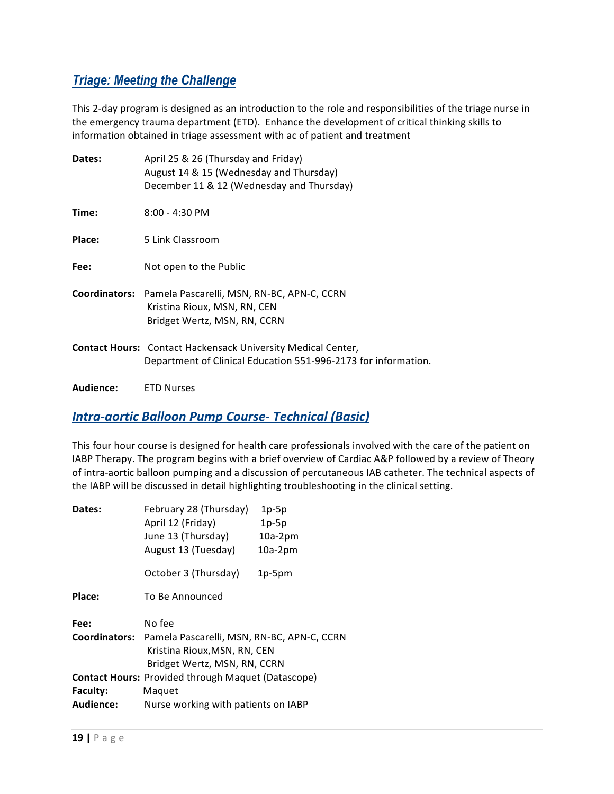# *Triage: Meeting the Challenge*

This 2-day program is designed as an introduction to the role and responsibilities of the triage nurse in the emergency trauma department (ETD). Enhance the development of critical thinking skills to information obtained in triage assessment with ac of patient and treatment

| Dates:    | April 25 & 26 (Thursday and Friday)<br>August 14 & 15 (Wednesday and Thursday)<br>December 11 & 12 (Wednesday and Thursday)           |
|-----------|---------------------------------------------------------------------------------------------------------------------------------------|
| Time:     | 8:00 - 4:30 PM                                                                                                                        |
| Place:    | 5 Link Classroom                                                                                                                      |
| Fee:      | Not open to the Public                                                                                                                |
|           | Coordinators: Pamela Pascarelli, MSN, RN-BC, APN-C, CCRN<br>Kristina Rioux, MSN, RN, CEN<br>Bridget Wertz, MSN, RN, CCRN              |
|           | <b>Contact Hours:</b> Contact Hackensack University Medical Center,<br>Department of Clinical Education 551-996-2173 for information. |
| Audience: | <b>ETD Nurses</b>                                                                                                                     |

#### **Intra-aortic Balloon Pump Course- Technical (Basic)**

This four hour course is designed for health care professionals involved with the care of the patient on IABP Therapy. The program begins with a brief overview of Cardiac A&P followed by a review of Theory of intra-aortic balloon pumping and a discussion of percutaneous IAB catheter. The technical aspects of the IABP will be discussed in detail highlighting troubleshooting in the clinical setting.

| Dates:          | February 28 (Thursday)<br>April 12 (Friday)<br>June 13 (Thursday)<br>August 13 (Tuesday)                                 | $1p-5p$<br>$1p-5p$<br>$10a-2pm$<br>$10a-2pm$ |
|-----------------|--------------------------------------------------------------------------------------------------------------------------|----------------------------------------------|
|                 | October 3 (Thursday)                                                                                                     | $1p-5pm$                                     |
| Place:          | To Be Announced                                                                                                          |                                              |
| Fee:            | No fee                                                                                                                   |                                              |
|                 | Coordinators: Pamela Pascarelli, MSN, RN-BC, APN-C, CCRN<br>Kristina Rioux, MSN, RN, CEN<br>Bridget Wertz, MSN, RN, CCRN |                                              |
|                 | <b>Contact Hours: Provided through Maquet (Datascope)</b>                                                                |                                              |
| <b>Faculty:</b> | Maquet                                                                                                                   |                                              |
| Audience:       | Nurse working with patients on IABP                                                                                      |                                              |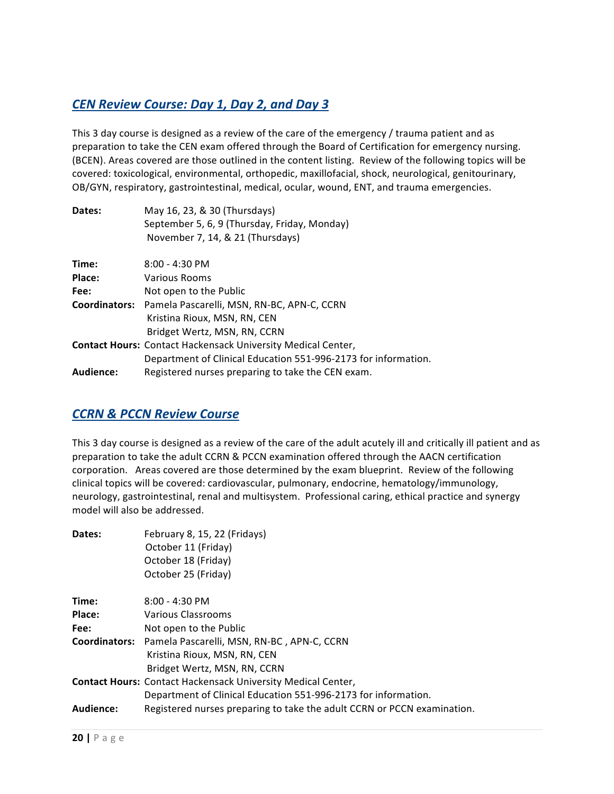# *CEN Review Course: Day 1, Day 2, and Day 3*

This 3 day course is designed as a review of the care of the emergency / trauma patient and as preparation to take the CEN exam offered through the Board of Certification for emergency nursing. (BCEN). Areas covered are those outlined in the content listing. Review of the following topics will be covered: toxicological, environmental, orthopedic, maxillofacial, shock, neurological, genitourinary, OB/GYN, respiratory, gastrointestinal, medical, ocular, wound, ENT, and trauma emergencies.

| Dates:               | May 16, 23, & 30 (Thursdays)                                        |  |  |
|----------------------|---------------------------------------------------------------------|--|--|
|                      | September 5, 6, 9 (Thursday, Friday, Monday)                        |  |  |
|                      | November 7, 14, & 21 (Thursdays)                                    |  |  |
| Time:                | $8:00 - 4:30$ PM                                                    |  |  |
| Place:               | Various Rooms                                                       |  |  |
| Fee:                 | Not open to the Public                                              |  |  |
| <b>Coordinators:</b> | Pamela Pascarelli, MSN, RN-BC, APN-C, CCRN                          |  |  |
|                      | Kristina Rioux, MSN, RN, CEN                                        |  |  |
|                      | Bridget Wertz, MSN, RN, CCRN                                        |  |  |
|                      | <b>Contact Hours: Contact Hackensack University Medical Center,</b> |  |  |
|                      | Department of Clinical Education 551-996-2173 for information.      |  |  |
| Audience:            | Registered nurses preparing to take the CEN exam.                   |  |  |

#### *CCRN & PCCN Review Course*

This 3 day course is designed as a review of the care of the adult acutely ill and critically ill patient and as preparation to take the adult CCRN & PCCN examination offered through the AACN certification corporation. Areas covered are those determined by the exam blueprint. Review of the following clinical topics will be covered: cardiovascular, pulmonary, endocrine, hematology/immunology, neurology, gastrointestinal, renal and multisystem. Professional caring, ethical practice and synergy model will also be addressed.

| Dates:    | February 8, 15, 22 (Fridays)                                            |
|-----------|-------------------------------------------------------------------------|
|           | October 11 (Friday)                                                     |
|           | October 18 (Friday)                                                     |
|           | October 25 (Friday)                                                     |
| Time:     | $8:00 - 4:30$ PM                                                        |
| Place:    | Various Classrooms                                                      |
| Fee:      | Not open to the Public                                                  |
|           | Coordinators: Pamela Pascarelli, MSN, RN-BC, APN-C, CCRN                |
|           | Kristina Rioux, MSN, RN, CEN                                            |
|           | Bridget Wertz, MSN, RN, CCRN                                            |
|           | <b>Contact Hours:</b> Contact Hackensack University Medical Center,     |
|           | Department of Clinical Education 551-996-2173 for information.          |
| Audience: | Registered nurses preparing to take the adult CCRN or PCCN examination. |
|           |                                                                         |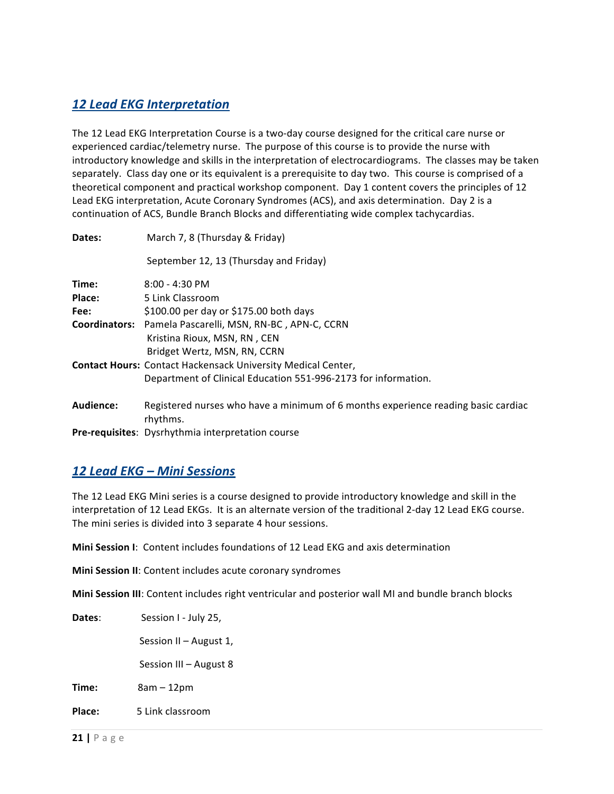# *12 Lead EKG Interpretation*

The 12 Lead EKG Interpretation Course is a two-day course designed for the critical care nurse or experienced cardiac/telemetry nurse. The purpose of this course is to provide the nurse with introductory knowledge and skills in the interpretation of electrocardiograms. The classes may be taken separately. Class day one or its equivalent is a prerequisite to day two. This course is comprised of a theoretical component and practical workshop component. Day 1 content covers the principles of 12 Lead EKG interpretation, Acute Coronary Syndromes (ACS), and axis determination. Day 2 is a continuation of ACS, Bundle Branch Blocks and differentiating wide complex tachycardias.

| Dates:        | March 7, 8 (Thursday & Friday)                                                                |  |
|---------------|-----------------------------------------------------------------------------------------------|--|
|               | September 12, 13 (Thursday and Friday)                                                        |  |
| Time:         | $8:00 - 4:30$ PM                                                                              |  |
| Place:        | 5 Link Classroom                                                                              |  |
| Fee:          | \$100.00 per day or \$175.00 both days                                                        |  |
| Coordinators: | Pamela Pascarelli, MSN, RN-BC, APN-C, CCRN                                                    |  |
|               | Kristina Rioux, MSN, RN, CEN                                                                  |  |
|               | Bridget Wertz, MSN, RN, CCRN                                                                  |  |
|               | <b>Contact Hours: Contact Hackensack University Medical Center,</b>                           |  |
|               | Department of Clinical Education 551-996-2173 for information.                                |  |
| Audience:     | Registered nurses who have a minimum of 6 months experience reading basic cardiac<br>rhythms. |  |
|               | Pre-requisites: Dysrhythmia interpretation course                                             |  |

### *12 Lead EKG – Mini Sessions*

The 12 Lead EKG Mini series is a course designed to provide introductory knowledge and skill in the interpretation of 12 Lead EKGs. It is an alternate version of the traditional 2-day 12 Lead EKG course. The mini series is divided into 3 separate 4 hour sessions.

**Mini Session I:** Content includes foundations of 12 Lead EKG and axis determination

**Mini Session II**: Content includes acute coronary syndromes

**Mini Session III**: Content includes right ventricular and posterior wall MI and bundle branch blocks

| Dates: | Session I - July 25,   |
|--------|------------------------|
|        | Session II - August 1, |
|        | Session III - August 8 |
| Time:  | $8am - 12pm$           |
| Place: | 5 Link classroom       |
|        |                        |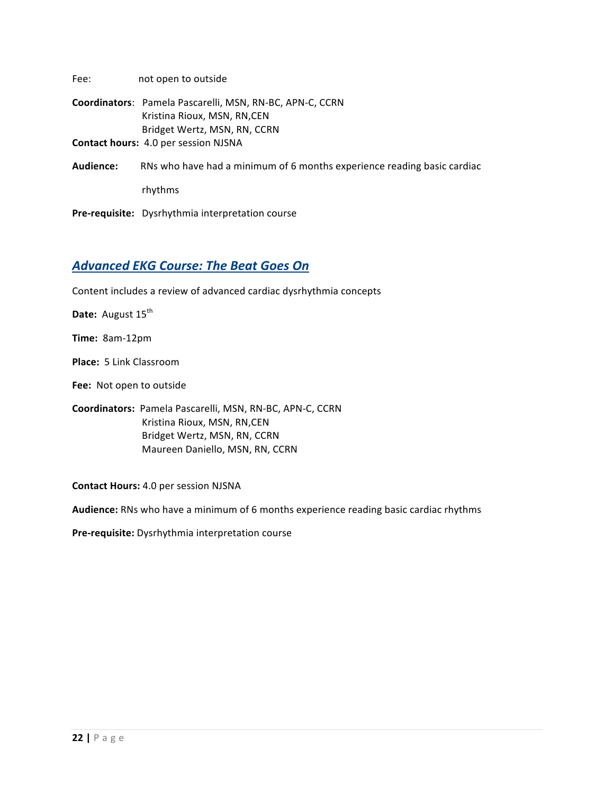| Fee:      | not open to outside                                                     |
|-----------|-------------------------------------------------------------------------|
|           | Coordinators: Pamela Pascarelli, MSN, RN-BC, APN-C, CCRN                |
|           | Kristina Rioux, MSN, RN, CEN                                            |
|           | Bridget Wertz, MSN, RN, CCRN                                            |
|           | <b>Contact hours: 4.0 per session NJSNA</b>                             |
| Audience: | RNs who have had a minimum of 6 months experience reading basic cardiac |
|           | rhythms                                                                 |

Pre-requisite: Dysrhythmia interpretation course

# **Advanced EKG Course: The Beat Goes On**

Content includes a review of advanced cardiac dysrhythmia concepts

**Date:** August 15<sup>th</sup>

**Time:**  8am-12pm

**Place:** 5 Link Classroom

Fee: Not open to outside

**Coordinators:**  Pamela Pascarelli, MSN, RN-BC, APN-C, CCRN Kristina Rioux, MSN, RN, CEN Bridget Wertz, MSN, RN, CCRN Maureen Daniello, MSN, RN, CCRN

**Contact Hours:** 4.0 per session NJSNA

Audience: RNs who have a minimum of 6 months experience reading basic cardiac rhythms

Pre-requisite: Dysrhythmia interpretation course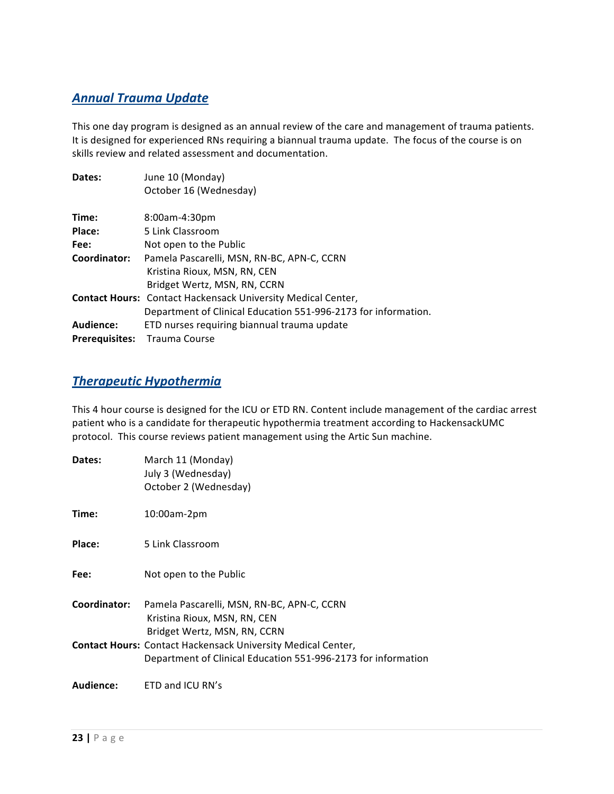# *Annual Trauma Update*

This one day program is designed as an annual review of the care and management of trauma patients. It is designed for experienced RNs requiring a biannual trauma update. The focus of the course is on skills review and related assessment and documentation.

| Dates:                | June 10 (Monday)                                                    |
|-----------------------|---------------------------------------------------------------------|
|                       | October 16 (Wednesday)                                              |
|                       |                                                                     |
| Time:                 | 8:00am-4:30pm                                                       |
| Place:                | 5 Link Classroom                                                    |
| Fee:                  | Not open to the Public                                              |
| Coordinator:          | Pamela Pascarelli, MSN, RN-BC, APN-C, CCRN                          |
|                       | Kristina Rioux, MSN, RN, CEN                                        |
|                       | Bridget Wertz, MSN, RN, CCRN                                        |
|                       | <b>Contact Hours:</b> Contact Hackensack University Medical Center, |
|                       | Department of Clinical Education 551-996-2173 for information.      |
| Audience:             | ETD nurses requiring biannual trauma update                         |
| <b>Prerequisites:</b> | <b>Trauma Course</b>                                                |

#### *Therapeutic Hypothermia*

This 4 hour course is designed for the ICU or ETD RN. Content include management of the cardiac arrest patient who is a candidate for therapeutic hypothermia treatment according to HackensackUMC protocol. This course reviews patient management using the Artic Sun machine.

| Dates:       | March 11 (Monday)<br>July 3 (Wednesday)<br>October 2 (Wednesday)                                                                     |
|--------------|--------------------------------------------------------------------------------------------------------------------------------------|
| Time:        | 10:00am-2pm                                                                                                                          |
| Place:       | 5 Link Classroom                                                                                                                     |
| Fee:         | Not open to the Public                                                                                                               |
| Coordinator: | Pamela Pascarelli, MSN, RN-BC, APN-C, CCRN<br>Kristina Rioux, MSN, RN, CEN<br>Bridget Wertz, MSN, RN, CCRN                           |
|              | <b>Contact Hours:</b> Contact Hackensack University Medical Center,<br>Department of Clinical Education 551-996-2173 for information |
| Audience:    | ETD and ICU RN's                                                                                                                     |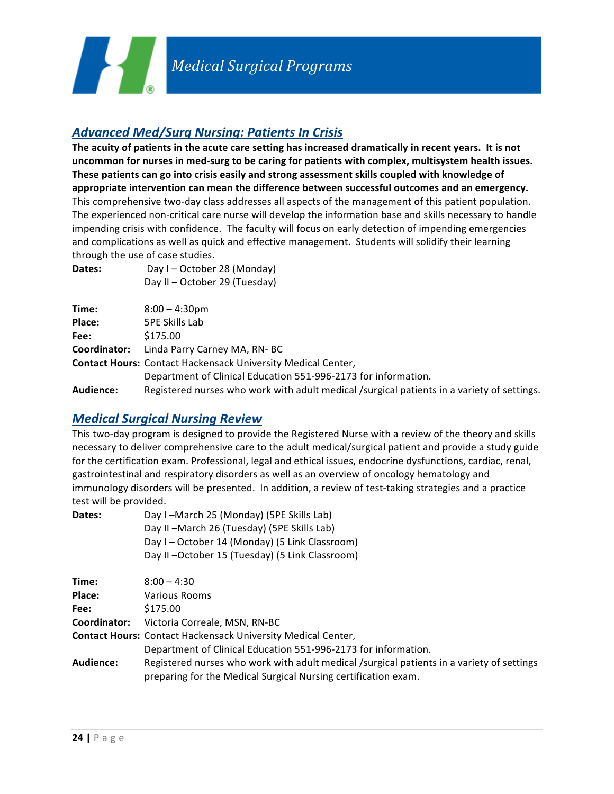

### *Advanced Med/Surg Nursing: Patients In Crisis*

Day II – October 29 (Tuesday)

The acuity of patients in the acute care setting has increased dramatically in recent years. It is not uncommon for nurses in med-surg to be caring for patients with complex, multisystem health issues. These patients can go into crisis easily and strong assessment skills coupled with knowledge of appropriate intervention can mean the difference between successful outcomes and an emergency. This comprehensive two-day class addresses all aspects of the management of this patient population. The experienced non-critical care nurse will develop the information base and skills necessary to handle impending crisis with confidence. The faculty will focus on early detection of impending emergencies and complications as well as quick and effective management. Students will solidify their learning through the use of case studies.

| Time:        | $8:00 - 4:30$ pm                                                                           |
|--------------|--------------------------------------------------------------------------------------------|
| Place:       | 5PE Skills Lab                                                                             |
| Fee:         | \$175.00                                                                                   |
| Coordinator: | Linda Parry Carney MA, RN-BC                                                               |
|              | <b>Contact Hours: Contact Hackensack University Medical Center,</b>                        |
|              | Department of Clinical Education 551-996-2173 for information.                             |
| Audience:    | Registered nurses who work with adult medical /surgical patients in a variety of settings. |
|              |                                                                                            |

#### *Medical Surgical Nursing Review*

**Dates:** Day I – October 28 (Monday)

This two-day program is designed to provide the Registered Nurse with a review of the theory and skills necessary to deliver comprehensive care to the adult medical/surgical patient and provide a study guide for the certification exam. Professional, legal and ethical issues, endocrine dysfunctions, cardiac, renal, gastrointestinal and respiratory disorders as well as an overview of oncology hematology and immunology disorders will be presented. In addition, a review of test-taking strategies and a practice test will be provided.

| Dates: | Day I-March 25 (Monday) (5PE Skills Lab)       |
|--------|------------------------------------------------|
|        | Day II – March 26 (Tuesday) (5PE Skills Lab)   |
|        | Day I - October 14 (Monday) (5 Link Classroom) |
|        | Day II-October 15 (Tuesday) (5 Link Classroom) |
|        |                                                |

| Time:        | $8:00 - 4:30$                                                                             |
|--------------|-------------------------------------------------------------------------------------------|
| Place:       | <b>Various Rooms</b>                                                                      |
| Fee:         | \$175.00                                                                                  |
| Coordinator: | Victoria Correale, MSN, RN-BC                                                             |
|              | <b>Contact Hours: Contact Hackensack University Medical Center,</b>                       |
|              | Department of Clinical Education 551-996-2173 for information.                            |
| Audience:    | Registered nurses who work with adult medical /surgical patients in a variety of settings |
|              | preparing for the Medical Surgical Nursing certification exam.                            |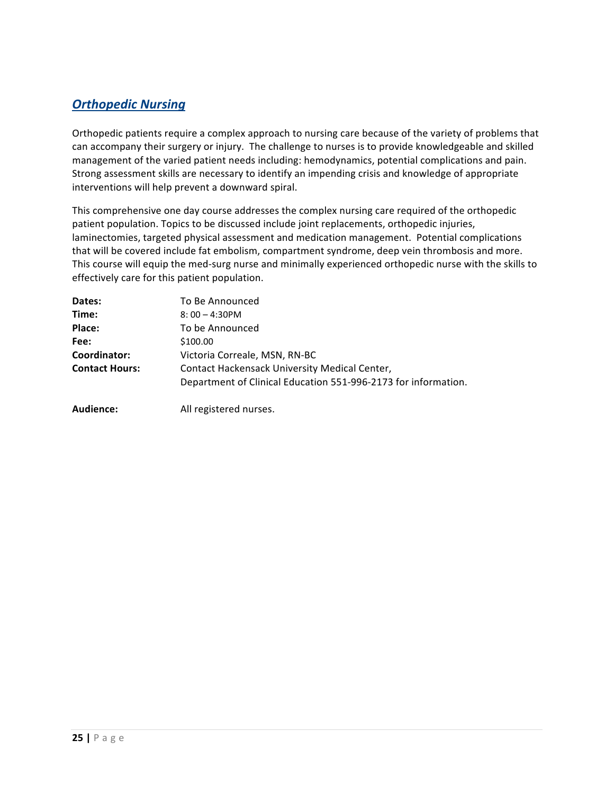# **Orthopedic Nursing**

Orthopedic patients require a complex approach to nursing care because of the variety of problems that can accompany their surgery or injury. The challenge to nurses is to provide knowledgeable and skilled management of the varied patient needs including: hemodynamics, potential complications and pain. Strong assessment skills are necessary to identify an impending crisis and knowledge of appropriate interventions will help prevent a downward spiral.

This comprehensive one day course addresses the complex nursing care required of the orthopedic patient population. Topics to be discussed include joint replacements, orthopedic injuries, laminectomies, targeted physical assessment and medication management. Potential complications that will be covered include fat embolism, compartment syndrome, deep vein thrombosis and more. This course will equip the med-surg nurse and minimally experienced orthopedic nurse with the skills to effectively care for this patient population.

| Dates:                | To Be Announced                                                |
|-----------------------|----------------------------------------------------------------|
| Time:                 | $8:00 - 4:30$ PM                                               |
| Place:                | To be Announced                                                |
| Fee:                  | \$100.00                                                       |
| Coordinator:          | Victoria Correale, MSN, RN-BC                                  |
| <b>Contact Hours:</b> | Contact Hackensack University Medical Center,                  |
|                       | Department of Clinical Education 551-996-2173 for information. |
| Audience:             | All registered nurses.                                         |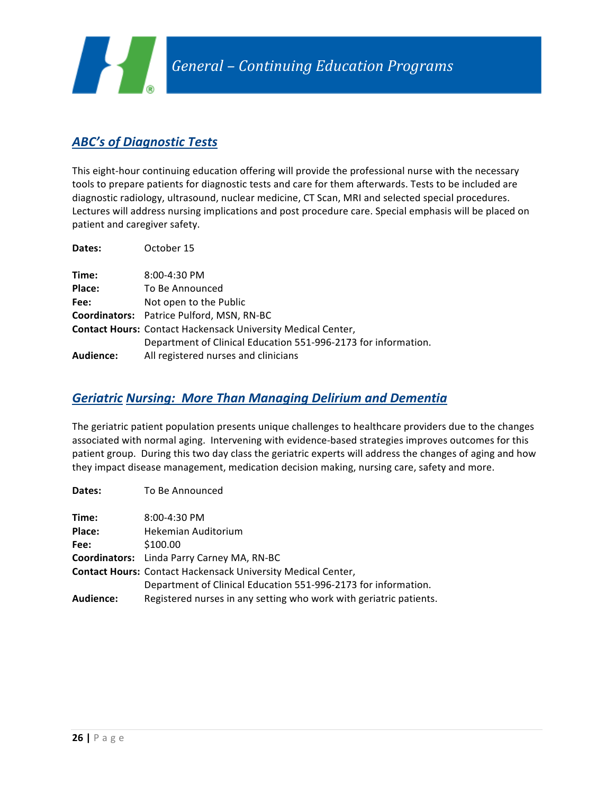

# **ABC's of Diagnostic Tests**

**Dates:** To Be Announced

This eight-hour continuing education offering will provide the professional nurse with the necessary tools to prepare patients for diagnostic tests and care for them afterwards. Tests to be included are diagnostic radiology, ultrasound, nuclear medicine, CT Scan, MRI and selected special procedures. Lectures will address nursing implications and post procedure care. Special emphasis will be placed on patient and caregiver safety.

| Dates:    | October 15                                                          |
|-----------|---------------------------------------------------------------------|
| Time:     | 8:00-4:30 PM                                                        |
| Place:    | To Be Announced                                                     |
| Fee:      | Not open to the Public                                              |
|           | <b>Coordinators:</b> Patrice Pulford, MSN, RN-BC                    |
|           | <b>Contact Hours: Contact Hackensack University Medical Center,</b> |
|           | Department of Clinical Education 551-996-2173 for information.      |
| Audience: | All registered nurses and clinicians                                |

#### *Geriatric Nursing: More Than Managing Delirium and Dementia*

The geriatric patient population presents unique challenges to healthcare providers due to the changes associated with normal aging. Intervening with evidence-based strategies improves outcomes for this patient group. During this two day class the geriatric experts will address the changes of aging and how they impact disease management, medication decision making, nursing care, safety and more.

| Dales.           | TO DE ANTIQUITÉU                                                    |
|------------------|---------------------------------------------------------------------|
| Time:            | 8:00-4:30 PM                                                        |
| Place:           | Hekemian Auditorium                                                 |
| Fee:             | \$100.00                                                            |
|                  | Coordinators: Linda Parry Carney MA, RN-BC                          |
|                  | <b>Contact Hours: Contact Hackensack University Medical Center,</b> |
|                  | Department of Clinical Education 551-996-2173 for information.      |
| <b>Audience:</b> | Registered nurses in any setting who work with geriatric patients.  |
|                  |                                                                     |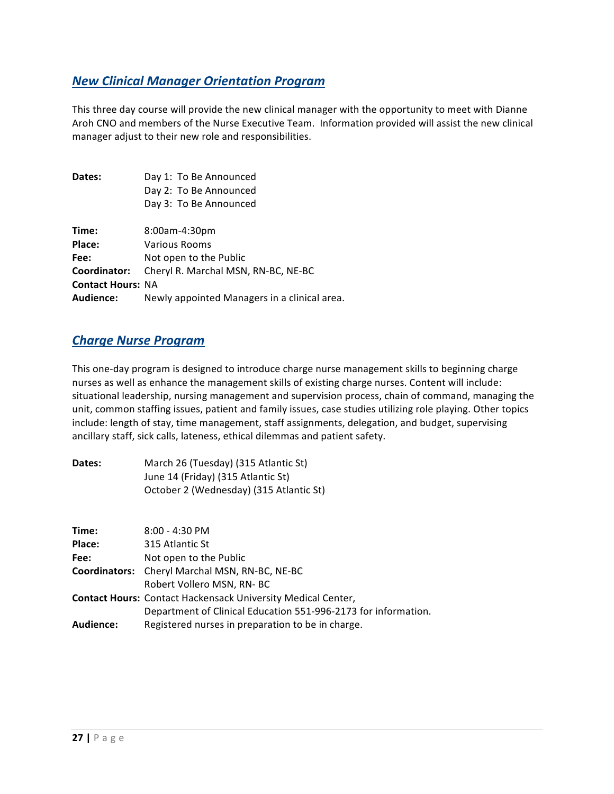### *New Clinical Manager Orientation Program*

This three day course will provide the new clinical manager with the opportunity to meet with Dianne Aroh CNO and members of the Nurse Executive Team. Information provided will assist the new clinical manager adjust to their new role and responsibilities.

| Dates:                   | Day 1: To Be Announced<br>Day 2: To Be Announced |
|--------------------------|--------------------------------------------------|
|                          |                                                  |
|                          | Day 3: To Be Announced                           |
|                          |                                                  |
| Time:                    | 8:00am-4:30pm                                    |
| Place:                   | Various Rooms                                    |
| Fee:                     | Not open to the Public                           |
| Coordinator:             | Cheryl R. Marchal MSN, RN-BC, NE-BC              |
| <b>Contact Hours: NA</b> |                                                  |
| <b>Audience:</b>         | Newly appointed Managers in a clinical area.     |

#### *Charge Nurse Program*

This one-day program is designed to introduce charge nurse management skills to beginning charge nurses as well as enhance the management skills of existing charge nurses. Content will include: situational leadership, nursing management and supervision process, chain of command, managing the unit, common staffing issues, patient and family issues, case studies utilizing role playing. Other topics include: length of stay, time management, staff assignments, delegation, and budget, supervising ancillary staff, sick calls, lateness, ethical dilemmas and patient safety.

| Dates:    | March 26 (Tuesday) (315 Atlantic St)<br>June 14 (Friday) (315 Atlantic St)<br>October 2 (Wednesday) (315 Atlantic St) |
|-----------|-----------------------------------------------------------------------------------------------------------------------|
|           |                                                                                                                       |
| Time:     | $8:00 - 4:30$ PM                                                                                                      |
| Place:    | 315 Atlantic St                                                                                                       |
| Fee:      | Not open to the Public                                                                                                |
|           | <b>Coordinators:</b> Cheryl Marchal MSN, RN-BC, NE-BC                                                                 |
|           | Robert Vollero MSN, RN-BC                                                                                             |
|           | <b>Contact Hours: Contact Hackensack University Medical Center,</b>                                                   |
|           | Department of Clinical Education 551-996-2173 for information.                                                        |
| Audience: | Registered nurses in preparation to be in charge.                                                                     |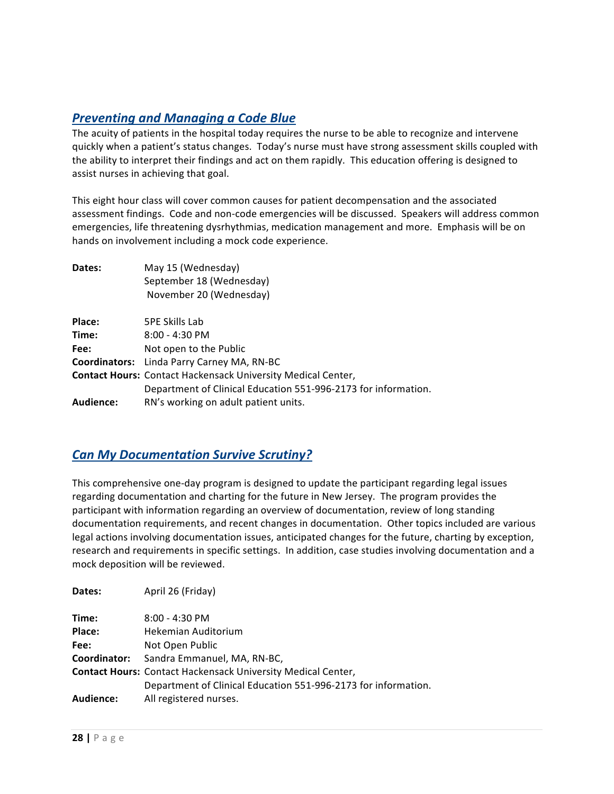# **Preventing and Managing a Code Blue**

The acuity of patients in the hospital today requires the nurse to be able to recognize and intervene quickly when a patient's status changes. Today's nurse must have strong assessment skills coupled with the ability to interpret their findings and act on them rapidly. This education offering is designed to assist nurses in achieving that goal.

This eight hour class will cover common causes for patient decompensation and the associated assessment findings. Code and non-code emergencies will be discussed. Speakers will address common emergencies, life threatening dysrhythmias, medication management and more. Emphasis will be on hands on involvement including a mock code experience.

| Dates:    | May 15 (Wednesday)                                                  |
|-----------|---------------------------------------------------------------------|
|           | September 18 (Wednesday)                                            |
|           | November 20 (Wednesday)                                             |
| Place:    | <b>5PE Skills Lab</b>                                               |
| Time:     | $8:00 - 4:30$ PM                                                    |
| Fee:      | Not open to the Public                                              |
|           | <b>Coordinators:</b> Linda Parry Carney MA, RN-BC                   |
|           | <b>Contact Hours: Contact Hackensack University Medical Center,</b> |
|           | Department of Clinical Education 551-996-2173 for information.      |
| Audience: | RN's working on adult patient units.                                |

#### *Can My Documentation Survive Scrutiny?*

This comprehensive one-day program is designed to update the participant regarding legal issues regarding documentation and charting for the future in New Jersey. The program provides the participant with information regarding an overview of documentation, review of long standing documentation requirements, and recent changes in documentation. Other topics included are various legal actions involving documentation issues, anticipated changes for the future, charting by exception, research and requirements in specific settings. In addition, case studies involving documentation and a mock deposition will be reviewed.

| Dates:           | April 26 (Friday)                                                   |
|------------------|---------------------------------------------------------------------|
| Time:            | $8:00 - 4:30$ PM                                                    |
| Place:           | Hekemian Auditorium                                                 |
| Fee:             | Not Open Public                                                     |
| Coordinator:     | Sandra Emmanuel, MA, RN-BC,                                         |
|                  | <b>Contact Hours: Contact Hackensack University Medical Center,</b> |
|                  | Department of Clinical Education 551-996-2173 for information.      |
| <b>Audience:</b> | All registered nurses.                                              |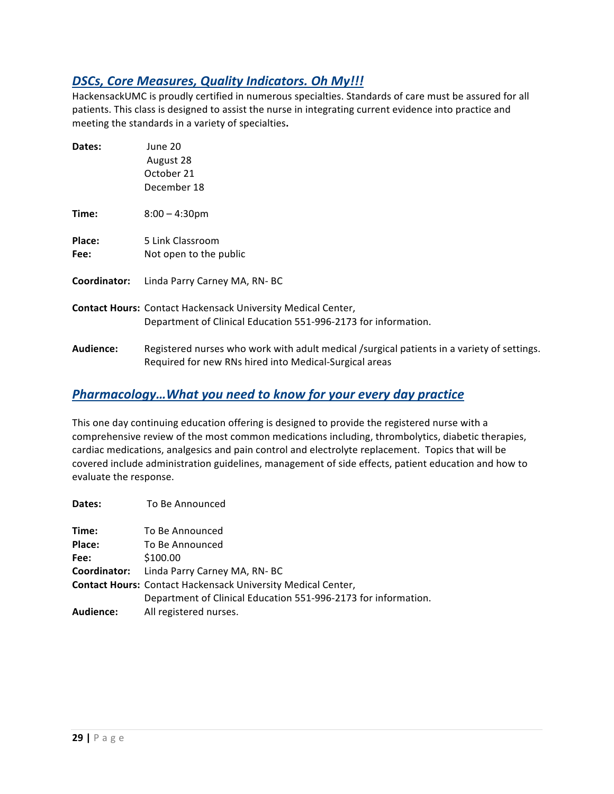### **DSCs, Core Measures, Quality Indicators. Oh My!!!**

HackensackUMC is proudly certified in numerous specialties. Standards of care must be assured for all patients. This class is designed to assist the nurse in integrating current evidence into practice and meeting the standards in a variety of specialties.

| Dates:         | June 20<br>August 28<br>October 21<br>December 18                                                                                                    |
|----------------|------------------------------------------------------------------------------------------------------------------------------------------------------|
| Time:          | $8:00 - 4:30$ pm                                                                                                                                     |
| Place:<br>Fee: | 5 Link Classroom<br>Not open to the public                                                                                                           |
| Coordinator:   | Linda Parry Carney MA, RN-BC                                                                                                                         |
|                | <b>Contact Hours: Contact Hackensack University Medical Center,</b><br>Department of Clinical Education 551-996-2173 for information.                |
| Audience:      | Registered nurses who work with adult medical /surgical patients in a variety of settings.<br>Required for new RNs hired into Medical-Surgical areas |

### *Pharmacology...What you need to know for your every day practice*

This one day continuing education offering is designed to provide the registered nurse with a comprehensive review of the most common medications including, thrombolytics, diabetic therapies, cardiac medications, analgesics and pain control and electrolyte replacement. Topics that will be covered include administration guidelines, management of side effects, patient education and how to evaluate the response.

| Dates:           | To Be Announced                                                     |
|------------------|---------------------------------------------------------------------|
| Time:            | To Be Announced                                                     |
| Place:           | To Be Announced                                                     |
| Fee:             | \$100.00                                                            |
|                  | <b>Coordinator:</b> Linda Parry Carney MA, RN-BC                    |
|                  | <b>Contact Hours: Contact Hackensack University Medical Center,</b> |
|                  | Department of Clinical Education 551-996-2173 for information.      |
| <b>Audience:</b> | All registered nurses.                                              |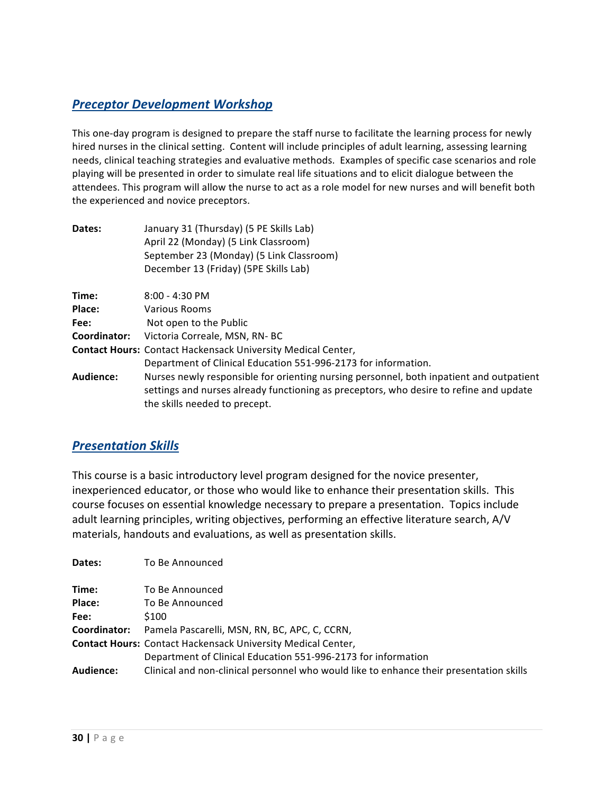# *Preceptor Development Workshop*

This one-day program is designed to prepare the staff nurse to facilitate the learning process for newly hired nurses in the clinical setting. Content will include principles of adult learning, assessing learning needs, clinical teaching strategies and evaluative methods. Examples of specific case scenarios and role playing will be presented in order to simulate real life situations and to elicit dialogue between the attendees. This program will allow the nurse to act as a role model for new nurses and will benefit both the experienced and novice preceptors.

| Dates:       | January 31 (Thursday) (5 PE Skills Lab)                                                 |
|--------------|-----------------------------------------------------------------------------------------|
|              | April 22 (Monday) (5 Link Classroom)                                                    |
|              | September 23 (Monday) (5 Link Classroom)                                                |
|              | December 13 (Friday) (5PE Skills Lab)                                                   |
| Time:        | $8:00 - 4:30$ PM                                                                        |
| Place:       | Various Rooms                                                                           |
| Fee:         | Not open to the Public                                                                  |
| Coordinator: | Victoria Correale, MSN, RN- BC                                                          |
|              | <b>Contact Hours: Contact Hackensack University Medical Center,</b>                     |
|              | Department of Clinical Education 551-996-2173 for information.                          |
| Audience:    | Nurses newly responsible for orienting nursing personnel, both inpatient and outpatient |
|              | settings and nurses already functioning as preceptors, who desire to refine and update  |
|              | the skills needed to precept.                                                           |

### *Presentation Skills*

This course is a basic introductory level program designed for the novice presenter, inexperienced educator, or those who would like to enhance their presentation skills. This course focuses on essential knowledge necessary to prepare a presentation. Topics include adult learning principles, writing objectives, performing an effective literature search, A/V materials, handouts and evaluations, as well as presentation skills.

| Dates:       | To Be Announced                                                                         |
|--------------|-----------------------------------------------------------------------------------------|
|              |                                                                                         |
| Time:        | To Be Announced                                                                         |
| Place:       | To Be Announced                                                                         |
| Fee:         | \$100                                                                                   |
| Coordinator: | Pamela Pascarelli, MSN, RN, BC, APC, C, CCRN,                                           |
|              | <b>Contact Hours: Contact Hackensack University Medical Center,</b>                     |
|              | Department of Clinical Education 551-996-2173 for information                           |
| Audience:    | Clinical and non-clinical personnel who would like to enhance their presentation skills |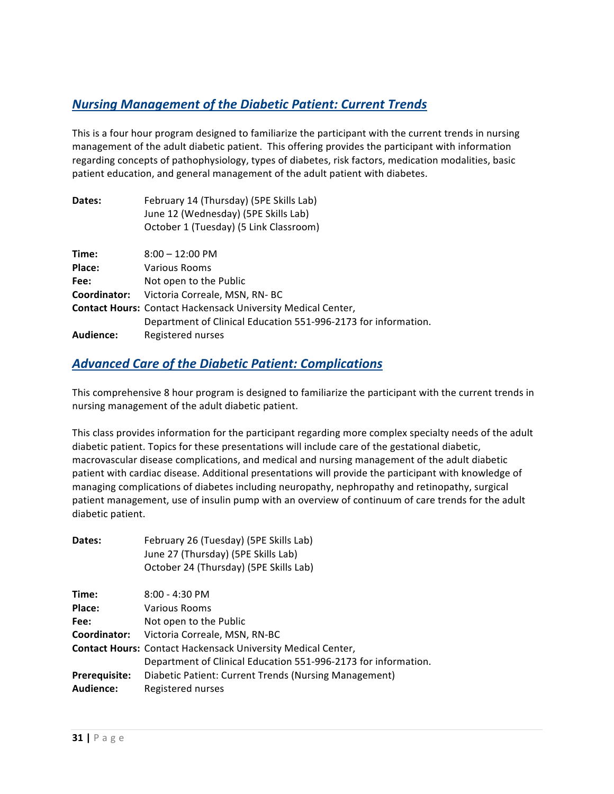# **Nursing Management of the Diabetic Patient: Current Trends**

This is a four hour program designed to familiarize the participant with the current trends in nursing management of the adult diabetic patient. This offering provides the participant with information regarding concepts of pathophysiology, types of diabetes, risk factors, medication modalities, basic patient education, and general management of the adult patient with diabetes.

| Dates:       | February 14 (Thursday) (5PE Skills Lab)<br>June 12 (Wednesday) (5PE Skills Lab)<br>October 1 (Tuesday) (5 Link Classroom) |
|--------------|---------------------------------------------------------------------------------------------------------------------------|
| Time:        | $8:00 - 12:00 \text{ PM}$                                                                                                 |
| Place:       | Various Rooms                                                                                                             |
| Fee:         | Not open to the Public                                                                                                    |
| Coordinator: | Victoria Correale, MSN, RN-BC                                                                                             |
|              | <b>Contact Hours: Contact Hackensack University Medical Center,</b>                                                       |
|              | Department of Clinical Education 551-996-2173 for information.                                                            |
| Audience:    | Registered nurses                                                                                                         |

#### **Advanced Care of the Diabetic Patient: Complications**

This comprehensive 8 hour program is designed to familiarize the participant with the current trends in nursing management of the adult diabetic patient.

This class provides information for the participant regarding more complex specialty needs of the adult diabetic patient. Topics for these presentations will include care of the gestational diabetic, macrovascular disease complications, and medical and nursing management of the adult diabetic patient with cardiac disease. Additional presentations will provide the participant with knowledge of managing complications of diabetes including neuropathy, nephropathy and retinopathy, surgical patient management, use of insulin pump with an overview of continuum of care trends for the adult diabetic patient.

| Dates:               | February 26 (Tuesday) (5PE Skills Lab)<br>June 27 (Thursday) (5PE Skills Lab)<br>October 24 (Thursday) (5PE Skills Lab) |
|----------------------|-------------------------------------------------------------------------------------------------------------------------|
| Time:                | $8:00 - 4:30$ PM                                                                                                        |
| Place:               | Various Rooms                                                                                                           |
| Fee:                 | Not open to the Public                                                                                                  |
| Coordinator:         | Victoria Correale, MSN, RN-BC                                                                                           |
|                      | <b>Contact Hours: Contact Hackensack University Medical Center,</b>                                                     |
|                      | Department of Clinical Education 551-996-2173 for information.                                                          |
| <b>Prerequisite:</b> | Diabetic Patient: Current Trends (Nursing Management)                                                                   |
| Audience:            | Registered nurses                                                                                                       |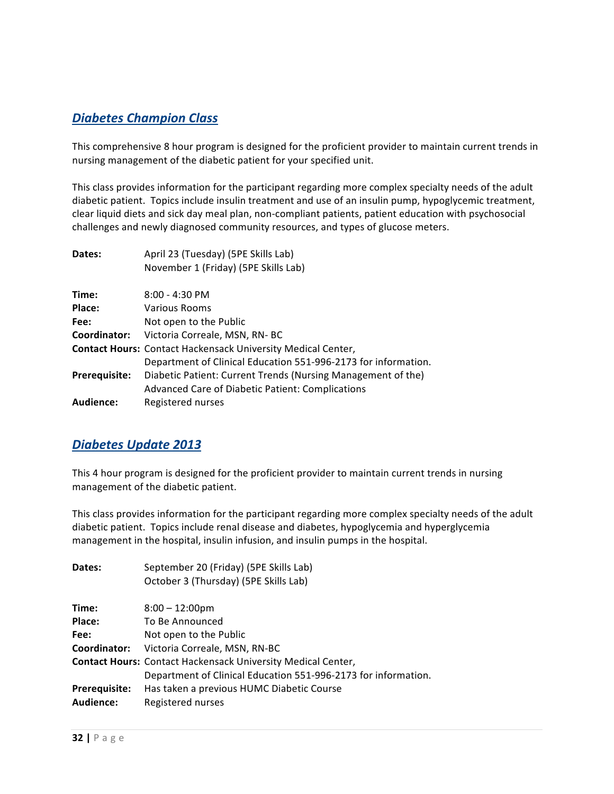# *Diabetes Champion Class*

This comprehensive 8 hour program is designed for the proficient provider to maintain current trends in nursing management of the diabetic patient for your specified unit.

This class provides information for the participant regarding more complex specialty needs of the adult diabetic patient. Topics include insulin treatment and use of an insulin pump, hypoglycemic treatment, clear liquid diets and sick day meal plan, non-compliant patients, patient education with psychosocial challenges and newly diagnosed community resources, and types of glucose meters.

| Dates:        | April 23 (Tuesday) (5PE Skills Lab)                                 |
|---------------|---------------------------------------------------------------------|
|               | November 1 (Friday) (5PE Skills Lab)                                |
| Time:         | $8:00 - 4:30$ PM                                                    |
| Place:        | Various Rooms                                                       |
| Fee:          | Not open to the Public                                              |
| Coordinator:  | Victoria Correale, MSN, RN-BC                                       |
|               | <b>Contact Hours: Contact Hackensack University Medical Center,</b> |
|               | Department of Clinical Education 551-996-2173 for information.      |
| Prerequisite: | Diabetic Patient: Current Trends (Nursing Management of the)        |
|               | <b>Advanced Care of Diabetic Patient: Complications</b>             |
| Audience:     | Registered nurses                                                   |

### *Diabetes Update 2013*

This 4 hour program is designed for the proficient provider to maintain current trends in nursing management of the diabetic patient.

This class provides information for the participant regarding more complex specialty needs of the adult diabetic patient. Topics include renal disease and diabetes, hypoglycemia and hyperglycemia management in the hospital, insulin infusion, and insulin pumps in the hospital.

| Dates:               | September 20 (Friday) (5PE Skills Lab)                              |
|----------------------|---------------------------------------------------------------------|
|                      | October 3 (Thursday) (5PE Skills Lab)                               |
| Time:                | $8:00 - 12:00 \text{pm}$                                            |
| Place:               | To Be Announced                                                     |
| Fee:                 | Not open to the Public                                              |
| Coordinator:         | Victoria Correale, MSN, RN-BC                                       |
|                      | <b>Contact Hours: Contact Hackensack University Medical Center,</b> |
|                      | Department of Clinical Education 551-996-2173 for information.      |
| <b>Prerequisite:</b> | Has taken a previous HUMC Diabetic Course                           |
| Audience:            | Registered nurses                                                   |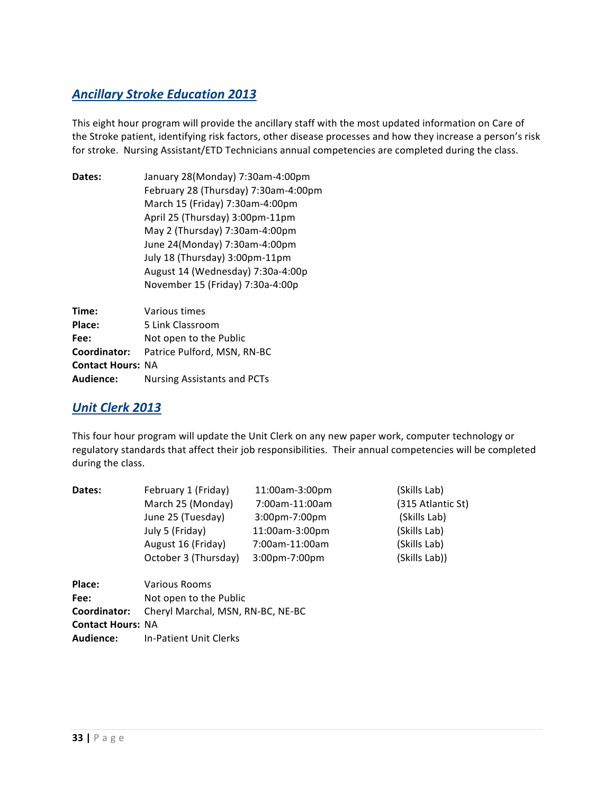# **Ancillary Stroke Education 2013**

This eight hour program will provide the ancillary staff with the most updated information on Care of the Stroke patient, identifying risk factors, other disease processes and how they increase a person's risk for stroke. Nursing Assistant/ETD Technicians annual competencies are completed during the class.

| Dates: | January 28(Monday) 7:30am-4:00pm     |
|--------|--------------------------------------|
|        | February 28 (Thursday) 7:30am-4:00pm |
|        | March 15 (Friday) 7:30am-4:00pm      |
|        | April 25 (Thursday) 3:00pm-11pm      |
|        | May 2 (Thursday) 7:30am-4:00pm       |
|        | June 24(Monday) 7:30am-4:00pm        |
|        | July 18 (Thursday) 3:00pm-11pm       |
|        | August 14 (Wednesday) 7:30a-4:00p    |
|        | November 15 (Friday) 7:30a-4:00p     |
|        |                                      |

| Time:                    | Various times                            |
|--------------------------|------------------------------------------|
| Place:                   | 5 Link Classroom                         |
| Fee:                     | Not open to the Public                   |
|                          | Coordinator: Patrice Pulford, MSN, RN-BC |
| <b>Contact Hours: NA</b> |                                          |
| <b>Audience:</b>         | Nursing Assistants and PCTs              |

### *Unit Clerk 2013*

This four hour program will update the Unit Clerk on any new paper work, computer technology or regulatory standards that affect their job responsibilities. Their annual competencies will be completed during the class.

| Dates:                   | February 1 (Friday)               | 11:00am-3:00pm   | (Skills Lab)      |
|--------------------------|-----------------------------------|------------------|-------------------|
|                          | March 25 (Monday)                 | 7:00am-11:00am   | (315 Atlantic St) |
|                          | June 25 (Tuesday)                 | $3:00$ pm-7:00pm | (Skills Lab)      |
|                          | July 5 (Friday)                   | 11:00am-3:00pm   | (Skills Lab)      |
|                          | August 16 (Friday)                | 7:00am-11:00am   | (Skills Lab)      |
|                          | October 3 (Thursday)              | $3:00$ pm-7:00pm | (Skills Lab))     |
| Place:                   | Various Rooms                     |                  |                   |
| Fee:                     | Not open to the Public            |                  |                   |
| Coordinator:             | Cheryl Marchal, MSN, RN-BC, NE-BC |                  |                   |
| <b>Contact Hours: NA</b> |                                   |                  |                   |
| Audience:                | <b>In-Patient Unit Clerks</b>     |                  |                   |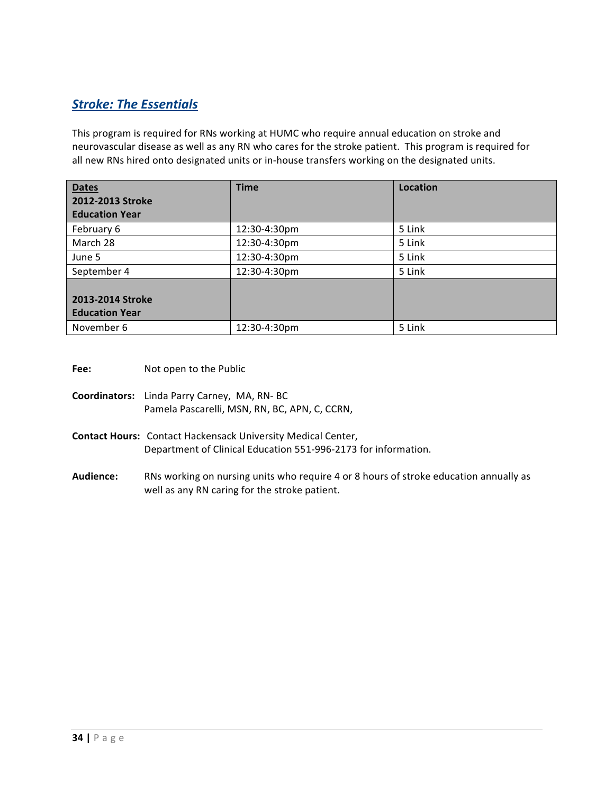# **Stroke: The Essentials**

This program is required for RNs working at HUMC who require annual education on stroke and neurovascular disease as well as any RN who cares for the stroke patient. This program is required for all new RNs hired onto designated units or in-house transfers working on the designated units.

| <b>Dates</b><br>2012-2013 Stroke<br><b>Education Year</b> | <b>Time</b>  | <b>Location</b> |
|-----------------------------------------------------------|--------------|-----------------|
| February 6                                                | 12:30-4:30pm | 5 Link          |
| March 28                                                  | 12:30-4:30pm | 5 Link          |
| June 5                                                    | 12:30-4:30pm | 5 Link          |
| September 4                                               | 12:30-4:30pm | 5 Link          |
| 2013-2014 Stroke<br><b>Education Year</b>                 |              |                 |
| November 6                                                | 12:30-4:30pm | 5 Link          |

**Fee:** Not open to the Public

- **Coordinators:** Linda Parry Carney, MA, RN- BC Pamela Pascarelli, MSN, RN, BC, APN, C, CCRN,
- **Contact Hours:** Contact Hackensack University Medical Center, Department of Clinical Education 551-996-2173 for information.
- Audience: RNs working on nursing units who require 4 or 8 hours of stroke education annually as well as any RN caring for the stroke patient.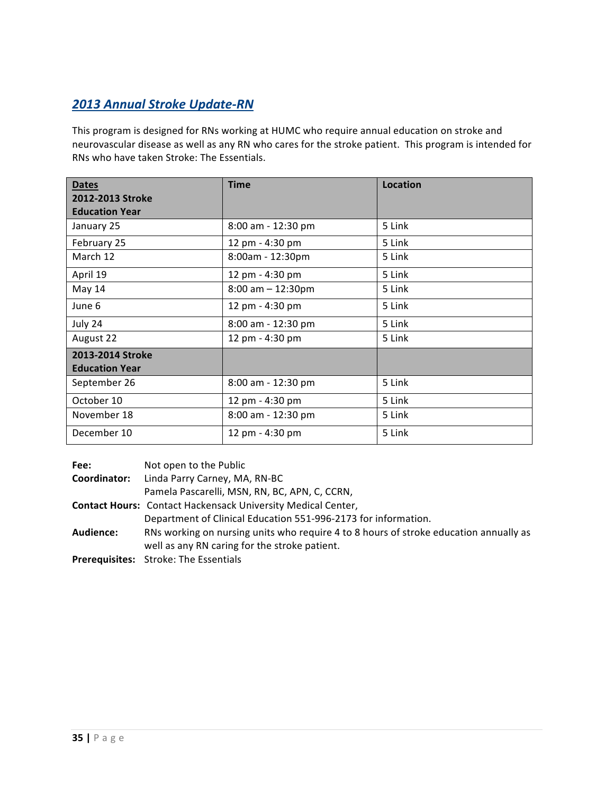# *2013 Annual Stroke Update-RN*

This program is designed for RNs working at HUMC who require annual education on stroke and neurovascular disease as well as any RN who cares for the stroke patient. This program is intended for RNs who have taken Stroke: The Essentials.

| <b>Dates</b><br>2012-2013 Stroke<br><b>Education Year</b> | <b>Time</b>            | Location |
|-----------------------------------------------------------|------------------------|----------|
| January 25                                                | 8:00 am - 12:30 pm     | 5 Link   |
| February 25                                               | 12 pm - 4:30 pm        | 5 Link   |
| March 12                                                  | 8:00am - 12:30pm       | 5 Link   |
| April 19                                                  | 12 pm - 4:30 pm        | 5 Link   |
| May 14                                                    | $8:00$ am $- 12:30$ pm | 5 Link   |
| June 6                                                    | 12 pm - 4:30 pm        | 5 Link   |
| July 24                                                   | 8:00 am - 12:30 pm     | 5 Link   |
| August 22                                                 | 12 pm - 4:30 pm        | 5 Link   |
| 2013-2014 Stroke<br><b>Education Year</b>                 |                        |          |
| September 26                                              | $8:00$ am - 12:30 pm   | 5 Link   |
| October 10                                                | 12 pm - 4:30 pm        | 5 Link   |
| November 18                                               | 8:00 am - 12:30 pm     | 5 Link   |
| December 10                                               | 12 pm - 4:30 pm        | 5 Link   |

| Fee:         | Not open to the Public                                                                |
|--------------|---------------------------------------------------------------------------------------|
| Coordinator: | Linda Parry Carney, MA, RN-BC                                                         |
|              | Pamela Pascarelli, MSN, RN, BC, APN, C, CCRN,                                         |
|              | <b>Contact Hours: Contact Hackensack University Medical Center,</b>                   |
|              | Department of Clinical Education 551-996-2173 for information.                        |
| Audience:    | RNs working on nursing units who require 4 to 8 hours of stroke education annually as |
|              | well as any RN caring for the stroke patient.                                         |
|              | <b>Prerequisites:</b> Stroke: The Essentials                                          |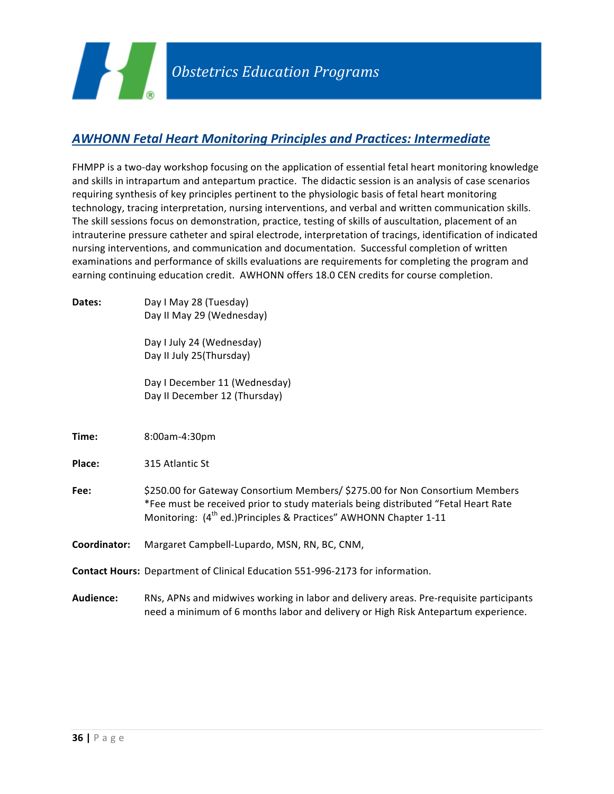

# *AWHONN Fetal Heart Monitoring Principles and Practices: Intermediate*

FHMPP is a two-day workshop focusing on the application of essential fetal heart monitoring knowledge and skills in intrapartum and antepartum practice. The didactic session is an analysis of case scenarios requiring synthesis of key principles pertinent to the physiologic basis of fetal heart monitoring technology, tracing interpretation, nursing interventions, and verbal and written communication skills. The skill sessions focus on demonstration, practice, testing of skills of auscultation, placement of an intrauterine pressure catheter and spiral electrode, interpretation of tracings, identification of indicated nursing interventions, and communication and documentation. Successful completion of written examinations and performance of skills evaluations are requirements for completing the program and earning continuing education credit. AWHONN offers 18.0 CEN credits for course completion.

**Dates:** Day I May 28 (Tuesday) Day II May 29 (Wednesday) Day I July 24 (Wednesday) Day II July 25(Thursday) Day I December 11 (Wednesday) Day II December 12 (Thursday) **Time:** 8:00am-4:30pm **Place:** 315 Atlantic St Fee:  $$250.00$  for Gateway Consortium Members/ \$275.00 for Non Consortium Members \*Fee must be received prior to study materials being distributed "Fetal Heart Rate Monitoring:  $(4^{\text{th}}$  ed.)Principles & Practices" AWHONN Chapter 1-11 **Coordinator:** Margaret Campbell-Lupardo, MSN, RN, BC, CNM, **Contact Hours:** Department of Clinical Education 551-996-2173 for information. Audience: RNs, APNs and midwives working in labor and delivery areas. Pre-requisite participants need a minimum of 6 months labor and delivery or High Risk Antepartum experience.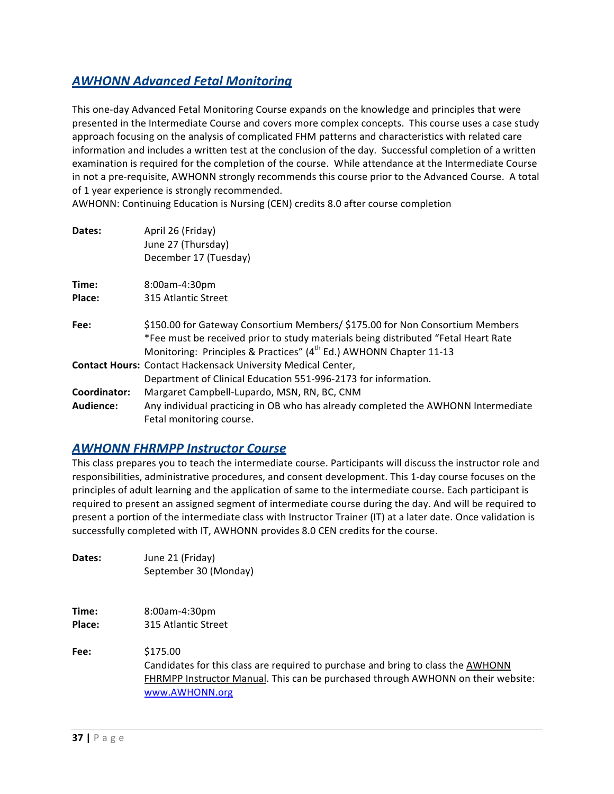### *AWHONN Advanced Fetal Monitoring*

This one-day Advanced Fetal Monitoring Course expands on the knowledge and principles that were presented in the Intermediate Course and covers more complex concepts. This course uses a case study approach focusing on the analysis of complicated FHM patterns and characteristics with related care information and includes a written test at the conclusion of the day. Successful completion of a written examination is required for the completion of the course. While attendance at the Intermediate Course in not a pre-requisite, AWHONN strongly recommends this course prior to the Advanced Course. A total of 1 year experience is strongly recommended.

AWHONN: Continuing Education is Nursing (CEN) credits 8.0 after course completion

| Dates:       | April 26 (Friday)<br>June 27 (Thursday)<br>December 17 (Tuesday)                                                                                                                                                                                     |
|--------------|------------------------------------------------------------------------------------------------------------------------------------------------------------------------------------------------------------------------------------------------------|
| Time:        | 8:00am-4:30pm                                                                                                                                                                                                                                        |
| Place:       | 315 Atlantic Street                                                                                                                                                                                                                                  |
| Fee:         | \$150.00 for Gateway Consortium Members/ \$175.00 for Non Consortium Members<br>*Fee must be received prior to study materials being distributed "Fetal Heart Rate<br>Monitoring: Principles & Practices" (4 <sup>th</sup> Ed.) AWHONN Chapter 11-13 |
|              | <b>Contact Hours: Contact Hackensack University Medical Center,</b><br>Department of Clinical Education 551-996-2173 for information.                                                                                                                |
| Coordinator: | Margaret Campbell-Lupardo, MSN, RN, BC, CNM                                                                                                                                                                                                          |
| Audience:    | Any individual practicing in OB who has already completed the AWHONN Intermediate<br>Fetal monitoring course.                                                                                                                                        |

#### *AWHONN FHRMPP Instructor Course*

This class prepares you to teach the intermediate course. Participants will discuss the instructor role and responsibilities, administrative procedures, and consent development. This 1-day course focuses on the principles of adult learning and the application of same to the intermediate course. Each participant is required to present an assigned segment of intermediate course during the day. And will be required to present a portion of the intermediate class with Instructor Trainer (IT) at a later date. Once validation is successfully completed with IT, AWHONN provides 8.0 CEN credits for the course.

| Dates: | June 21 (Friday)      |
|--------|-----------------------|
|        | September 30 (Monday) |
|        |                       |
|        |                       |
|        |                       |

**Time:** 8:00am-4:30pm **Place:** 315 Atlantic Street

**Fee:** \$175.00 Candidates for this class are required to purchase and bring to class the AWHONN FHRMPP Instructor Manual. This can be purchased through AWHONN on their website: www.AWHONN.org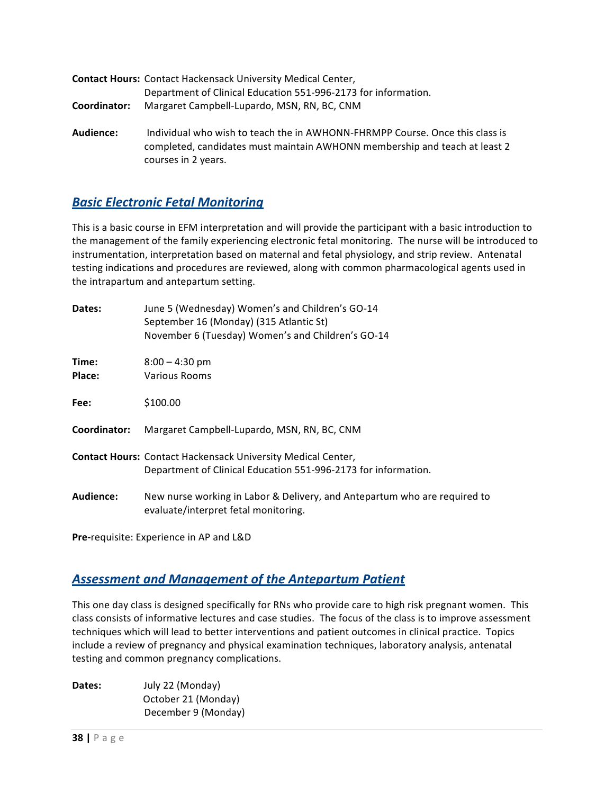|              | <b>Contact Hours: Contact Hackensack University Medical Center,</b> |
|--------------|---------------------------------------------------------------------|
|              | Department of Clinical Education 551-996-2173 for information.      |
| Coordinator: | Margaret Campbell-Lupardo, MSN, RN, BC, CNM                         |
| Audience:    | Individual who wish to teach the in AWHONN-FHRMPP Course. Onc       |

**Le** this class is completed, candidates must maintain AWHONN membership and teach at least 2 courses in 2 years.

# *Basic Electronic Fetal Monitoring*

This is a basic course in EFM interpretation and will provide the participant with a basic introduction to the management of the family experiencing electronic fetal monitoring. The nurse will be introduced to instrumentation, interpretation based on maternal and fetal physiology, and strip review. Antenatal testing indications and procedures are reviewed, along with common pharmacological agents used in the intrapartum and antepartum setting.

| New nurse working in Labor & Delivery, and Antepartum who are required to |
|---------------------------------------------------------------------------|
|                                                                           |

**Pre-requisite: Experience in AP and L&D** 

#### **Assessment and Management of the Antepartum Patient**

This one day class is designed specifically for RNs who provide care to high risk pregnant women. This class consists of informative lectures and case studies. The focus of the class is to improve assessment techniques which will lead to better interventions and patient outcomes in clinical practice. Topics include a review of pregnancy and physical examination techniques, laboratory analysis, antenatal testing and common pregnancy complications.

| Dates: | July 22 (Monday)    |
|--------|---------------------|
|        | October 21 (Monday) |
|        | December 9 (Monday) |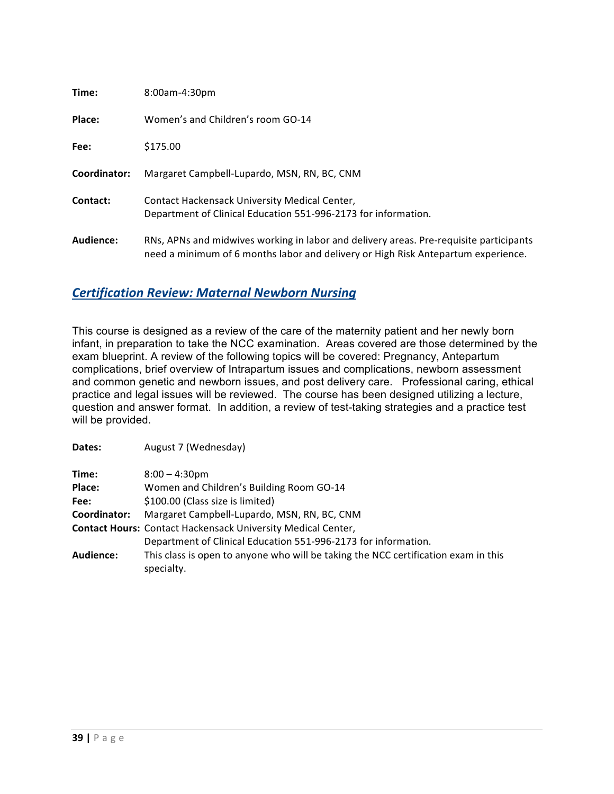| Time:        | 8:00am-4:30pm                                                                                                                                                               |
|--------------|-----------------------------------------------------------------------------------------------------------------------------------------------------------------------------|
| Place:       | Women's and Children's room GO-14                                                                                                                                           |
| Fee:         | \$175.00                                                                                                                                                                    |
| Coordinator: | Margaret Campbell-Lupardo, MSN, RN, BC, CNM                                                                                                                                 |
| Contact:     | Contact Hackensack University Medical Center,<br>Department of Clinical Education 551-996-2173 for information.                                                             |
| Audience:    | RNs, APNs and midwives working in labor and delivery areas. Pre-requisite participants<br>need a minimum of 6 months labor and delivery or High Risk Antepartum experience. |

# *Certification Review: Maternal Newborn Nursing*

**Dates:** August 7 (Wednesday)

This course is designed as a review of the care of the maternity patient and her newly born infant, in preparation to take the NCC examination. Areas covered are those determined by the exam blueprint. A review of the following topics will be covered: Pregnancy, Antepartum complications, brief overview of Intrapartum issues and complications, newborn assessment and common genetic and newborn issues, and post delivery care. Professional caring, ethical practice and legal issues will be reviewed. The course has been designed utilizing a lecture, question and answer format. In addition, a review of test-taking strategies and a practice test will be provided.

| Time:        | $8:00 - 4:30$ pm                                                                                 |
|--------------|--------------------------------------------------------------------------------------------------|
| Place:       | Women and Children's Building Room GO-14                                                         |
| Fee:         | \$100.00 (Class size is limited)                                                                 |
| Coordinator: | Margaret Campbell-Lupardo, MSN, RN, BC, CNM                                                      |
|              | <b>Contact Hours: Contact Hackensack University Medical Center,</b>                              |
|              | Department of Clinical Education 551-996-2173 for information.                                   |
| Audience:    | This class is open to anyone who will be taking the NCC certification exam in this<br>specialty. |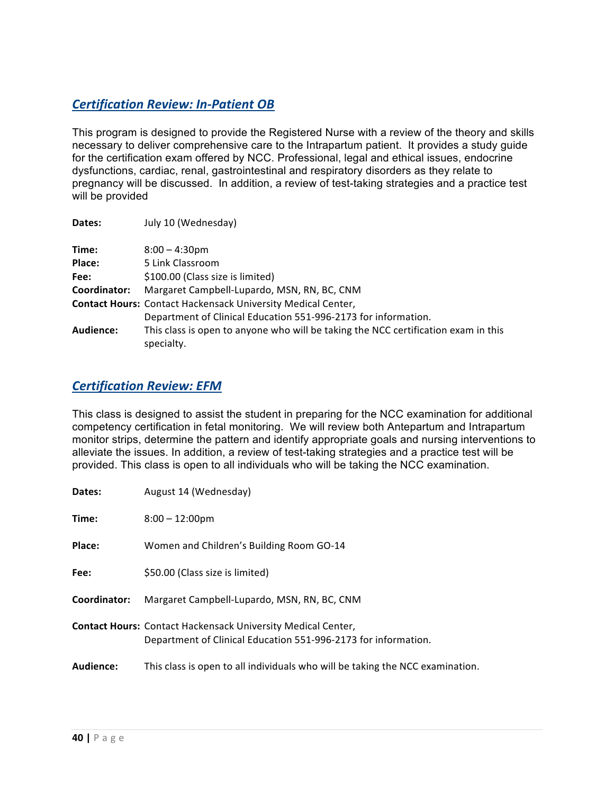# *Certification Review: In-Patient OB*

This program is designed to provide the Registered Nurse with a review of the theory and skills necessary to deliver comprehensive care to the Intrapartum patient. It provides a study guide for the certification exam offered by NCC. Professional, legal and ethical issues, endocrine dysfunctions, cardiac, renal, gastrointestinal and respiratory disorders as they relate to pregnancy will be discussed. In addition, a review of test-taking strategies and a practice test will be provided

| Dates:           | July 10 (Wednesday)                                                                              |
|------------------|--------------------------------------------------------------------------------------------------|
| Time:            | $8:00 - 4:30$ pm                                                                                 |
| Place:           | 5 Link Classroom                                                                                 |
| Fee:             | \$100.00 (Class size is limited)                                                                 |
| Coordinator:     | Margaret Campbell-Lupardo, MSN, RN, BC, CNM                                                      |
|                  | <b>Contact Hours: Contact Hackensack University Medical Center,</b>                              |
|                  | Department of Clinical Education 551-996-2173 for information.                                   |
| <b>Audience:</b> | This class is open to anyone who will be taking the NCC certification exam in this<br>specialty. |

#### *Certification Review: EFM*

This class is designed to assist the student in preparing for the NCC examination for additional competency certification in fetal monitoring. We will review both Antepartum and Intrapartum monitor strips, determine the pattern and identify appropriate goals and nursing interventions to alleviate the issues. In addition, a review of test-taking strategies and a practice test will be provided. This class is open to all individuals who will be taking the NCC examination.

| Dates:       | August 14 (Wednesday)                                                                                                                 |
|--------------|---------------------------------------------------------------------------------------------------------------------------------------|
| Time:        | $8:00 - 12:00 \text{pm}$                                                                                                              |
| Place:       | Women and Children's Building Room GO-14                                                                                              |
| Fee:         | \$50.00 (Class size is limited)                                                                                                       |
| Coordinator: | Margaret Campbell-Lupardo, MSN, RN, BC, CNM                                                                                           |
|              | <b>Contact Hours: Contact Hackensack University Medical Center,</b><br>Department of Clinical Education 551-996-2173 for information. |
| Audience:    | This class is open to all individuals who will be taking the NCC examination.                                                         |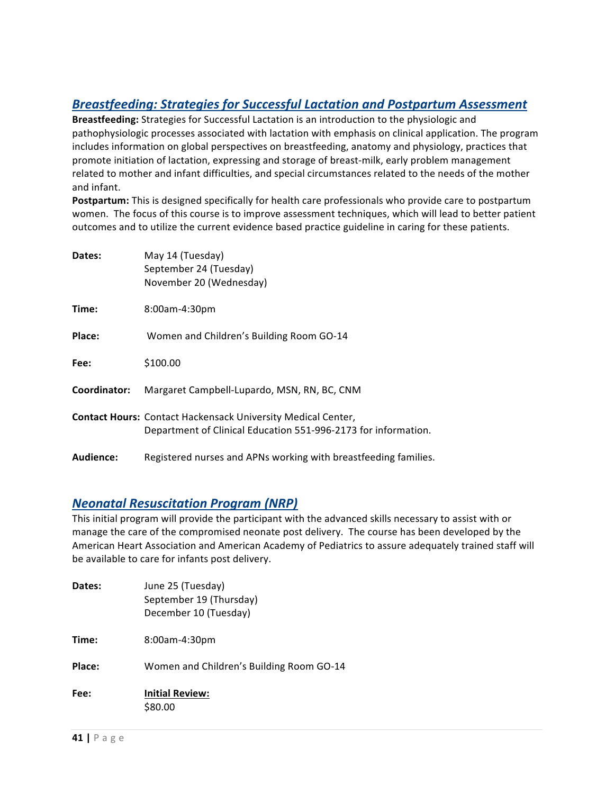# **Breastfeeding: Strategies for Successful Lactation and Postpartum Assessment**

**Breastfeeding:** Strategies for Successful Lactation is an introduction to the physiologic and pathophysiologic processes associated with lactation with emphasis on clinical application. The program includes information on global perspectives on breastfeeding, anatomy and physiology, practices that promote initiation of lactation, expressing and storage of breast-milk, early problem management related to mother and infant difficulties, and special circumstances related to the needs of the mother and infant.

**Postpartum:** This is designed specifically for health care professionals who provide care to postpartum women. The focus of this course is to improve assessment techniques, which will lead to better patient outcomes and to utilize the current evidence based practice guideline in caring for these patients.

| Dates:       | May 14 (Tuesday)<br>September 24 (Tuesday)<br>November 20 (Wednesday)                                                                 |
|--------------|---------------------------------------------------------------------------------------------------------------------------------------|
| Time:        | 8:00am-4:30pm                                                                                                                         |
| Place:       | Women and Children's Building Room GO-14                                                                                              |
| Fee:         | \$100.00                                                                                                                              |
| Coordinator: | Margaret Campbell-Lupardo, MSN, RN, BC, CNM                                                                                           |
|              | <b>Contact Hours: Contact Hackensack University Medical Center,</b><br>Department of Clinical Education 551-996-2173 for information. |
| Audience:    | Registered nurses and APNs working with breastfeeding families.                                                                       |

#### *Neonatal Resuscitation Program (NRP)*

This initial program will provide the participant with the advanced skills necessary to assist with or manage the care of the compromised neonate post delivery. The course has been developed by the American Heart Association and American Academy of Pediatrics to assure adequately trained staff will be available to care for infants post delivery.

| Dates: | June 25 (Tuesday)<br>September 19 (Thursday)<br>December 10 (Tuesday) |
|--------|-----------------------------------------------------------------------|
| Time:  | 8:00am-4:30pm                                                         |
| Place: | Women and Children's Building Room GO-14                              |
| Fee:   | <b>Initial Review:</b><br>\$80.00                                     |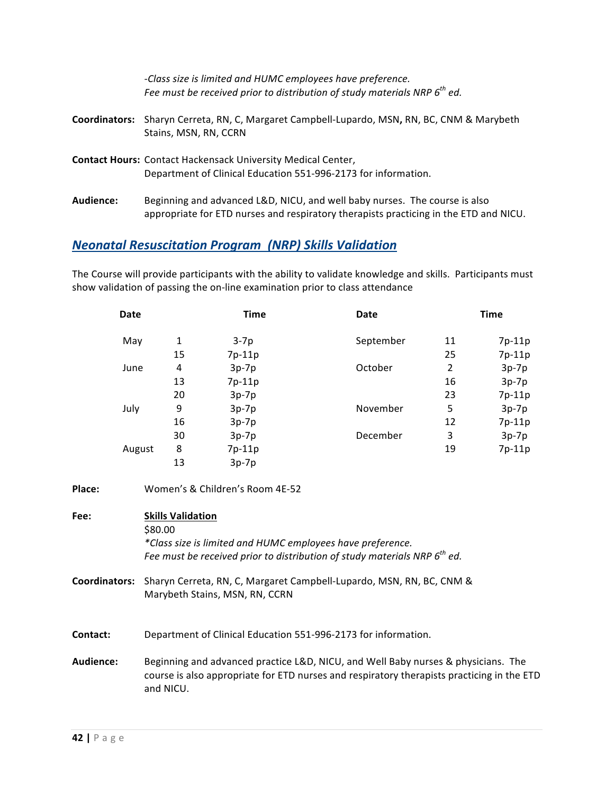|                      | -Class size is limited and HUMC employees have preference.<br>Fee must be received prior to distribution of study materials NRP $6th$ ed.                           |
|----------------------|---------------------------------------------------------------------------------------------------------------------------------------------------------------------|
| <b>Coordinators:</b> | Sharyn Cerreta, RN, C, Margaret Campbell-Lupardo, MSN, RN, BC, CNM & Marybeth<br>Stains, MSN, RN, CCRN                                                              |
|                      | <b>Contact Hours: Contact Hackensack University Medical Center,</b><br>Department of Clinical Education 551-996-2173 for information.                               |
| Audience:            | Beginning and advanced L&D, NICU, and well baby nurses. The course is also<br>appropriate for ETD nurses and respiratory therapists practicing in the ETD and NICU. |

# *Neonatal Resuscitation Program (NRP) Skills Validation*

The Course will provide participants with the ability to validate knowledge and skills. Participants must show validation of passing the on-line examination prior to class attendance

|        | <b>Date</b> |    | <b>Time</b>                     | Date      |    | <b>Time</b> |
|--------|-------------|----|---------------------------------|-----------|----|-------------|
|        | May         | 1  | $3-7p$                          | September | 11 | 7p-11p      |
|        |             | 15 | 7p-11p                          |           | 25 | 7p-11p      |
|        | June        | 4  | $3p-7p$                         | October   | 2  | $3p-7p$     |
|        |             | 13 | 7p-11p                          |           | 16 | $3p-7p$     |
|        |             | 20 | $3p-7p$                         |           | 23 | 7p-11p      |
|        | July        | 9  | $3p-7p$                         | November  | 5  | $3p-7p$     |
|        |             | 16 | $3p-7p$                         |           | 12 | 7p-11p      |
|        |             | 30 | $3p-7p$                         | December  | 3  | $3p-7p$     |
|        | August      | 8  | 7p-11p                          |           | 19 | 7p-11p      |
|        |             | 13 | $3p-7p$                         |           |    |             |
| Place: |             |    | Women's & Children's Room 4E-52 |           |    |             |

| Fee:            | <b>Skills Validation</b><br>\$80.00<br>*Class size is limited and HUMC employees have preference.<br>Fee must be received prior to distribution of study materials NRP $6^{th}$ ed.          |
|-----------------|----------------------------------------------------------------------------------------------------------------------------------------------------------------------------------------------|
| Coordinators:   | Sharyn Cerreta, RN, C, Margaret Campbell-Lupardo, MSN, RN, BC, CNM &<br>Marybeth Stains, MSN, RN, CCRN                                                                                       |
| <b>Contact:</b> | Department of Clinical Education 551-996-2173 for information.                                                                                                                               |
| Audience:       | Beginning and advanced practice L&D, NICU, and Well Baby nurses & physicians. The<br>course is also appropriate for ETD nurses and respiratory therapists practicing in the ETD<br>and NICU. |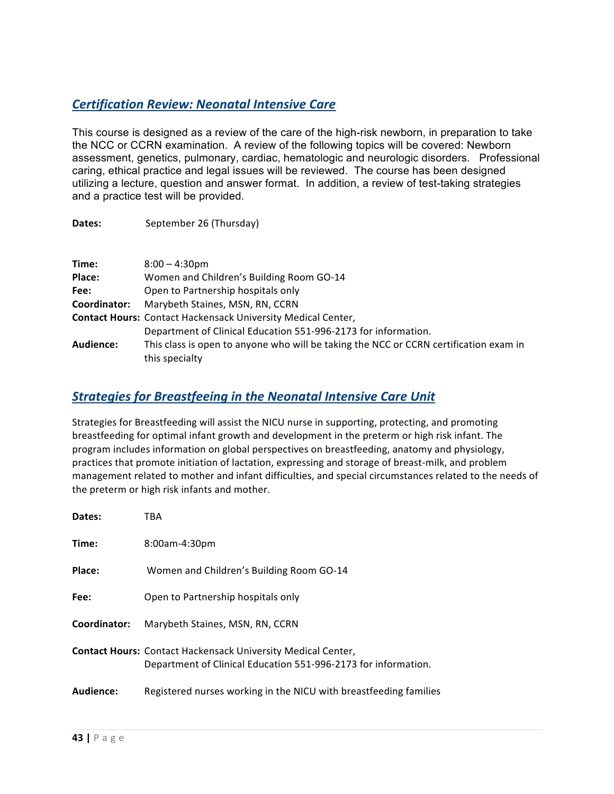# *Certification Review: Neonatal Intensive Care*

Dates: September 26 (Thursday)

This course is designed as a review of the care of the high-risk newborn, in preparation to take the NCC or CCRN examination. A review of the following topics will be covered: Newborn assessment, genetics, pulmonary, cardiac, hematologic and neurologic disorders. Professional caring, ethical practice and legal issues will be reviewed. The course has been designed utilizing a lecture, question and answer format. In addition, a review of test-taking strategies and a practice test will be provided.

| Time:        | $8:00 - 4:30$ pm                                                                                        |
|--------------|---------------------------------------------------------------------------------------------------------|
| Place:       | Women and Children's Building Room GO-14                                                                |
| Fee:         | Open to Partnership hospitals only                                                                      |
| Coordinator: | Marybeth Staines, MSN, RN, CCRN                                                                         |
|              | <b>Contact Hours: Contact Hackensack University Medical Center,</b>                                     |
|              | Department of Clinical Education 551-996-2173 for information.                                          |
| Audience:    | This class is open to anyone who will be taking the NCC or CCRN certification exam in<br>this specialty |

### **Strategies for Breastfeeing in the Neonatal Intensive Care Unit**

Strategies for Breastfeeding will assist the NICU nurse in supporting, protecting, and promoting breastfeeding for optimal infant growth and development in the preterm or high risk infant. The program includes information on global perspectives on breastfeeding, anatomy and physiology, practices that promote initiation of lactation, expressing and storage of breast-milk, and problem management related to mother and infant difficulties, and special circumstances related to the needs of the preterm or high risk infants and mother.

| Dates:           | TBA                                                                                                                                   |
|------------------|---------------------------------------------------------------------------------------------------------------------------------------|
| Time:            | 8:00am-4:30pm                                                                                                                         |
| Place:           | Women and Children's Building Room GO-14                                                                                              |
| Fee:             | Open to Partnership hospitals only                                                                                                    |
| Coordinator:     | Marybeth Staines, MSN, RN, CCRN                                                                                                       |
|                  | <b>Contact Hours: Contact Hackensack University Medical Center,</b><br>Department of Clinical Education 551-996-2173 for information. |
| <b>Audience:</b> | Registered nurses working in the NICU with breastfeeding families                                                                     |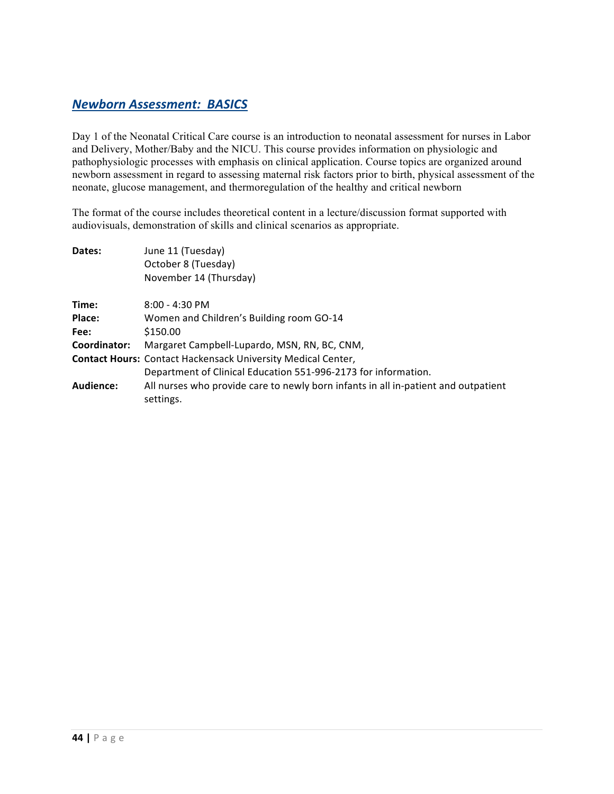### *Newborn Assessment: BASICS*

Day 1 of the Neonatal Critical Care course is an introduction to neonatal assessment for nurses in Labor and Delivery, Mother/Baby and the NICU. This course provides information on physiologic and pathophysiologic processes with emphasis on clinical application. Course topics are organized around newborn assessment in regard to assessing maternal risk factors prior to birth, physical assessment of the neonate, glucose management, and thermoregulation of the healthy and critical newborn

The format of the course includes theoretical content in a lecture/discussion format supported with audiovisuals, demonstration of skills and clinical scenarios as appropriate.

| Dates:       | June 11 (Tuesday)                                                                               |  |  |
|--------------|-------------------------------------------------------------------------------------------------|--|--|
|              | October 8 (Tuesday)                                                                             |  |  |
|              | November 14 (Thursday)                                                                          |  |  |
| Time:        | $8:00 - 4:30$ PM                                                                                |  |  |
| Place:       | Women and Children's Building room GO-14                                                        |  |  |
| Fee:         | \$150.00                                                                                        |  |  |
| Coordinator: | Margaret Campbell-Lupardo, MSN, RN, BC, CNM,                                                    |  |  |
|              | <b>Contact Hours: Contact Hackensack University Medical Center,</b>                             |  |  |
|              | Department of Clinical Education 551-996-2173 for information.                                  |  |  |
| Audience:    | All nurses who provide care to newly born infants in all in-patient and outpatient<br>settings. |  |  |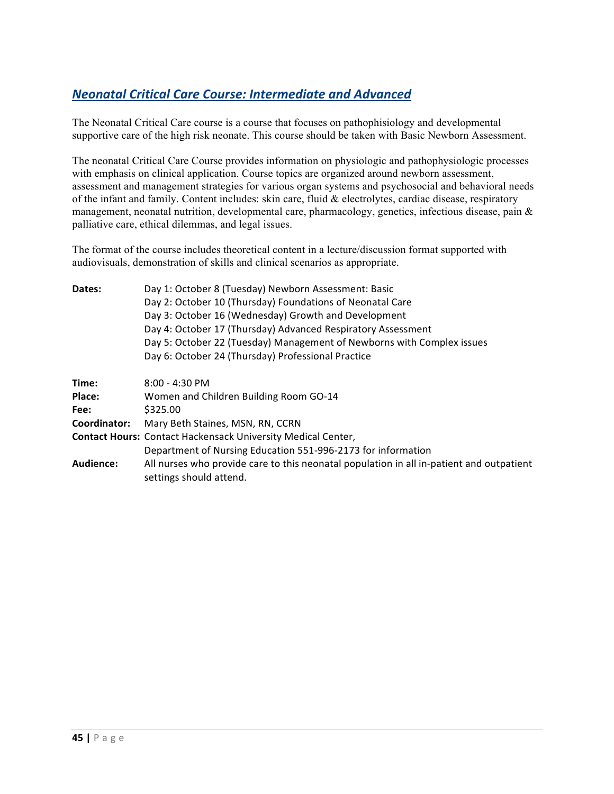# *Neonatal Critical Care Course: Intermediate and Advanced*

The Neonatal Critical Care course is a course that focuses on pathophisiology and developmental supportive care of the high risk neonate. This course should be taken with Basic Newborn Assessment.

The neonatal Critical Care Course provides information on physiologic and pathophysiologic processes with emphasis on clinical application. Course topics are organized around newborn assessment, assessment and management strategies for various organ systems and psychosocial and behavioral needs of the infant and family. Content includes: skin care, fluid & electrolytes, cardiac disease, respiratory management, neonatal nutrition, developmental care, pharmacology, genetics, infectious disease, pain & palliative care, ethical dilemmas, and legal issues.

The format of the course includes theoretical content in a lecture/discussion format supported with audiovisuals, demonstration of skills and clinical scenarios as appropriate.

| Dates:       | Day 1: October 8 (Tuesday) Newborn Assessment: Basic                                                                |  |  |
|--------------|---------------------------------------------------------------------------------------------------------------------|--|--|
|              | Day 2: October 10 (Thursday) Foundations of Neonatal Care                                                           |  |  |
|              | Day 3: October 16 (Wednesday) Growth and Development                                                                |  |  |
|              | Day 4: October 17 (Thursday) Advanced Respiratory Assessment                                                        |  |  |
|              | Day 5: October 22 (Tuesday) Management of Newborns with Complex issues                                              |  |  |
|              | Day 6: October 24 (Thursday) Professional Practice                                                                  |  |  |
| Time:        | $8:00 - 4:30$ PM                                                                                                    |  |  |
| Place:       | Women and Children Building Room GO-14                                                                              |  |  |
| Fee:         | \$325.00                                                                                                            |  |  |
| Coordinator: | Mary Beth Staines, MSN, RN, CCRN                                                                                    |  |  |
|              | <b>Contact Hours: Contact Hackensack University Medical Center,</b>                                                 |  |  |
|              | Department of Nursing Education 551-996-2173 for information                                                        |  |  |
| Audience:    | All nurses who provide care to this neonatal population in all in-patient and outpatient<br>settings should attend. |  |  |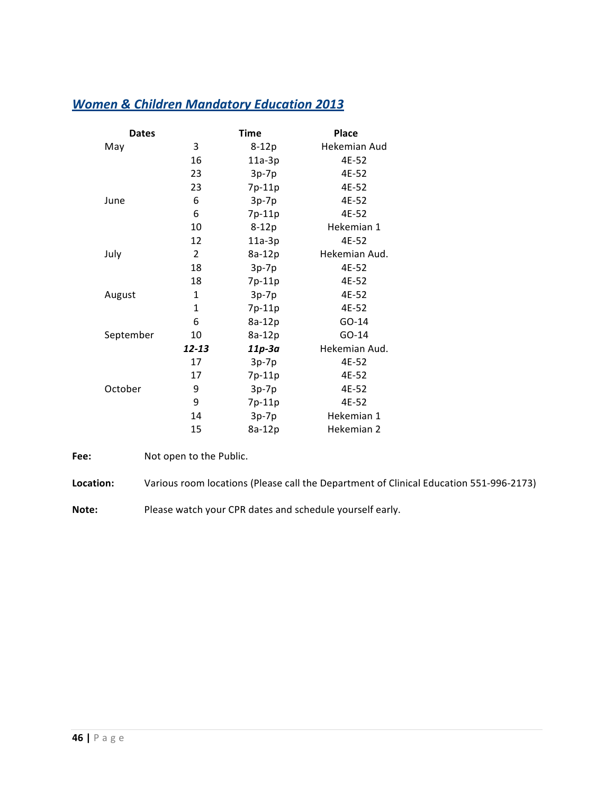# **Women & Children Mandatory Education 2013**

| <b>Dates</b> |                | <b>Time</b> | <b>Place</b>  |
|--------------|----------------|-------------|---------------|
| May          | 3              | $8-12p$     | Hekemian Aud  |
|              | 16             | $11a-3p$    | 4E-52         |
|              | 23             | $3p-7p$     | 4E-52         |
|              | 23             | 7p-11p      | 4E-52         |
| June         | 6              | $3p-7p$     | 4E-52         |
|              | 6              | 7p-11p      | 4E-52         |
|              | 10             | $8-12p$     | Hekemian 1    |
|              | 12             | $11a-3p$    | 4E-52         |
| July         | $\overline{2}$ | 8a-12p      | Hekemian Aud. |
|              | 18             | $3p-7p$     | 4E-52         |
|              | 18             | 7p-11p      | 4E-52         |
| August       | 1              | $3p-7p$     | 4E-52         |
|              | 1              | 7p-11p      | 4E-52         |
|              | 6              | 8a-12p      | GO-14         |
| September    | 10             | 8a-12p      | GO-14         |
|              | 12-13          | $11p-3a$    | Hekemian Aud. |
|              | 17             | $3p-7p$     | 4E-52         |
|              | 17             | 7p-11p      | 4E-52         |
| October      | 9              | $3p-7p$     | 4E-52         |
|              | 9              | 7p-11p      | 4E-52         |
|              | 14             | $3p-7p$     | Hekemian 1    |
|              | 15             | 8a-12p      | Hekemian 2    |

**Fee:** Not open to the Public.

Location: Various room locations (Please call the Department of Clinical Education 551-996-2173)

**Note:** Please watch your CPR dates and schedule yourself early.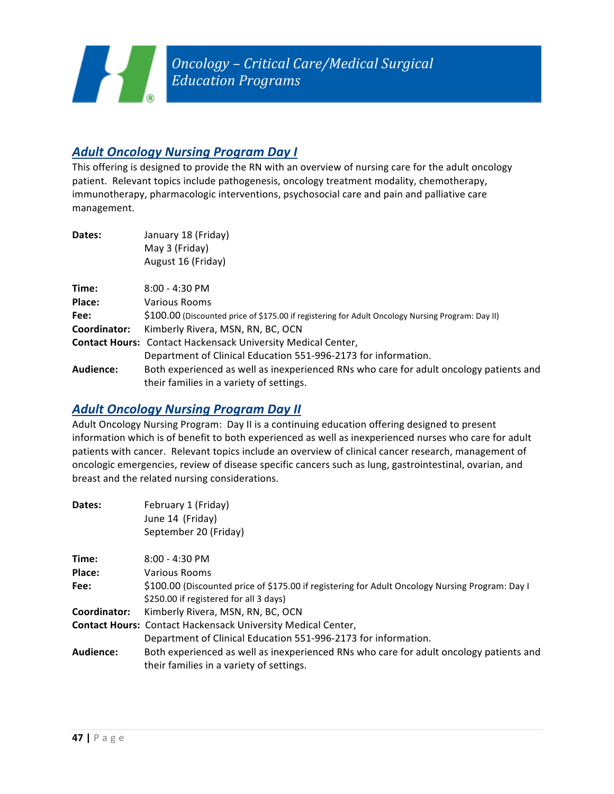# **Adult Oncology Nursing Program Day I**

This offering is designed to provide the RN with an overview of nursing care for the adult oncology patient. Relevant topics include pathogenesis, oncology treatment modality, chemotherapy, immunotherapy, pharmacologic interventions, psychosocial care and pain and palliative care management. 

| Dates:       | January 18 (Friday)<br>May 3 (Friday)<br>August 16 (Friday)                                                                        |
|--------------|------------------------------------------------------------------------------------------------------------------------------------|
| Time:        | $8:00 - 4:30$ PM                                                                                                                   |
| Place:       | <b>Various Rooms</b>                                                                                                               |
| Fee:         | \$100.00 (Discounted price of \$175.00 if registering for Adult Oncology Nursing Program: Day II)                                  |
| Coordinator: | Kimberly Rivera, MSN, RN, BC, OCN                                                                                                  |
|              | <b>Contact Hours: Contact Hackensack University Medical Center,</b>                                                                |
|              | Department of Clinical Education 551-996-2173 for information.                                                                     |
| Audience:    | Both experienced as well as inexperienced RNs who care for adult oncology patients and<br>their families in a variety of settings. |

### **Adult Oncology Nursing Program Day II**

Adult Oncology Nursing Program: Day II is a continuing education offering designed to present information which is of benefit to both experienced as well as inexperienced nurses who care for adult patients with cancer. Relevant topics include an overview of clinical cancer research, management of oncologic emergencies, review of disease specific cancers such as lung, gastrointestinal, ovarian, and breast and the related nursing considerations.

| Dates:       | February 1 (Friday)                                                                             |
|--------------|-------------------------------------------------------------------------------------------------|
|              | June 14 (Friday)                                                                                |
|              | September 20 (Friday)                                                                           |
| Time:        | $8:00 - 4:30$ PM                                                                                |
| Place:       | Various Rooms                                                                                   |
| Fee:         | \$100.00 (Discounted price of \$175.00 if registering for Adult Oncology Nursing Program: Day I |
|              | \$250.00 if registered for all 3 days)                                                          |
| Coordinator: | Kimberly Rivera, MSN, RN, BC, OCN                                                               |
|              | <b>Contact Hours: Contact Hackensack University Medical Center,</b>                             |
|              | Department of Clinical Education 551-996-2173 for information.                                  |
| Audience:    | Both experienced as well as inexperienced RNs who care for adult oncology patients and          |
|              | their families in a variety of settings.                                                        |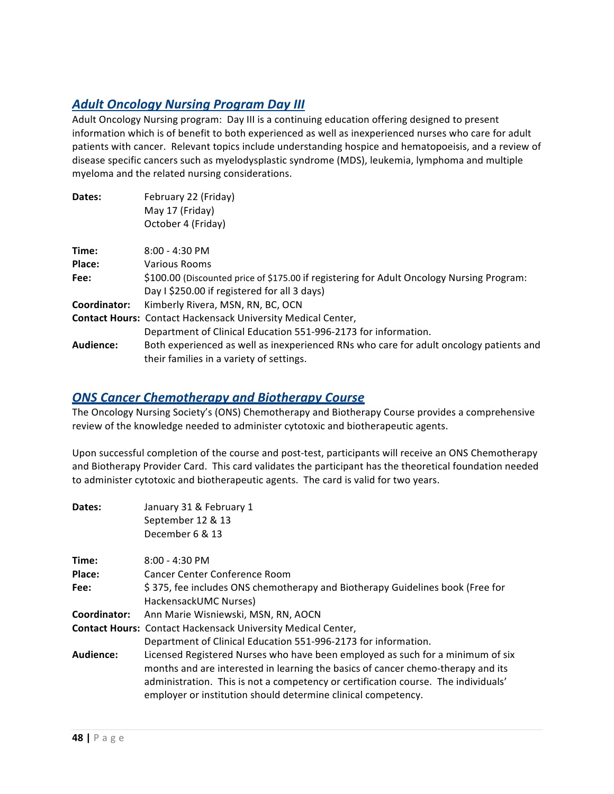# **Adult Oncology Nursing Program Day III**

Adult Oncology Nursing program: Day III is a continuing education offering designed to present information which is of benefit to both experienced as well as inexperienced nurses who care for adult patients with cancer. Relevant topics include understanding hospice and hematopoeisis, and a review of disease specific cancers such as myelodysplastic syndrome (MDS), leukemia, lymphoma and multiple myeloma and the related nursing considerations.

| Dates:       | February 22 (Friday)                                                                      |
|--------------|-------------------------------------------------------------------------------------------|
|              | May 17 (Friday)                                                                           |
|              | October 4 (Friday)                                                                        |
| Time:        | $8:00 - 4:30$ PM                                                                          |
| Place:       | Various Rooms                                                                             |
| Fee:         | \$100.00 (Discounted price of \$175.00 if registering for Adult Oncology Nursing Program: |
|              | Day I \$250.00 if registered for all 3 days)                                              |
| Coordinator: | Kimberly Rivera, MSN, RN, BC, OCN                                                         |
|              | <b>Contact Hours: Contact Hackensack University Medical Center,</b>                       |
|              | Department of Clinical Education 551-996-2173 for information.                            |
| Audience:    | Both experienced as well as inexperienced RNs who care for adult oncology patients and    |
|              | their families in a variety of settings.                                                  |

#### **ONS Cancer Chemotherapy and Biotherapy Course**

The Oncology Nursing Society's (ONS) Chemotherapy and Biotherapy Course provides a comprehensive review of the knowledge needed to administer cytotoxic and biotherapeutic agents.

Upon successful completion of the course and post-test, participants will receive an ONS Chemotherapy and Biotherapy Provider Card. This card validates the participant has the theoretical foundation needed to administer cytotoxic and biotherapeutic agents. The card is valid for two years.

| Dates:       | January 31 & February 1                                                            |
|--------------|------------------------------------------------------------------------------------|
|              | September 12 & 13                                                                  |
|              | December 6 & 13                                                                    |
| Time:        | $8:00 - 4:30$ PM                                                                   |
| Place:       | Cancer Center Conference Room                                                      |
| Fee:         | \$375, fee includes ONS chemotherapy and Biotherapy Guidelines book (Free for      |
|              | HackensackUMC Nurses)                                                              |
| Coordinator: | Ann Marie Wisniewski, MSN, RN, AOCN                                                |
|              | <b>Contact Hours: Contact Hackensack University Medical Center,</b>                |
|              | Department of Clinical Education 551-996-2173 for information.                     |
| Audience:    | Licensed Registered Nurses who have been employed as such for a minimum of six     |
|              | months and are interested in learning the basics of cancer chemo-therapy and its   |
|              | administration. This is not a competency or certification course. The individuals' |
|              | employer or institution should determine clinical competency.                      |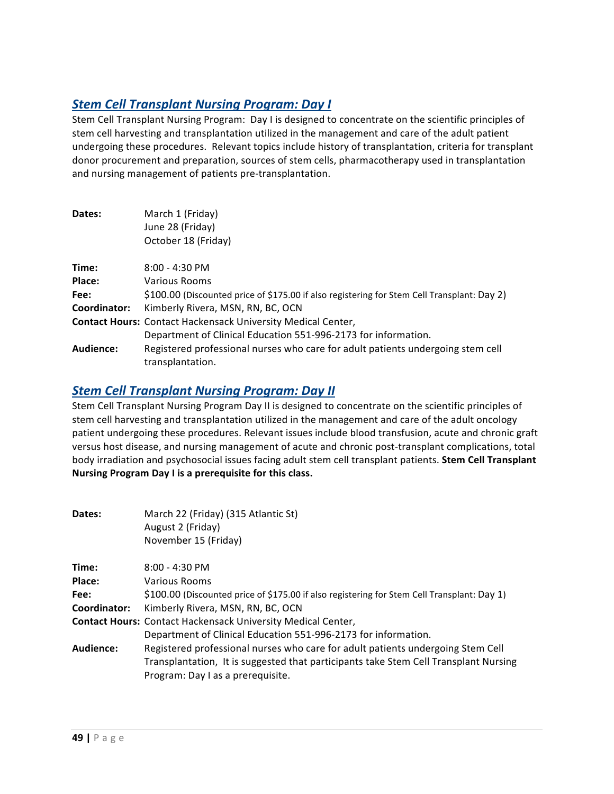# **Stem Cell Transplant Nursing Program: Day I**

Stem Cell Transplant Nursing Program: Day I is designed to concentrate on the scientific principles of stem cell harvesting and transplantation utilized in the management and care of the adult patient undergoing these procedures. Relevant topics include history of transplantation, criteria for transplant donor procurement and preparation, sources of stem cells, pharmacotherapy used in transplantation and nursing management of patients pre-transplantation.

| Dates:       | March 1 (Friday)<br>June 28 (Friday)<br>October 18 (Friday)                                         |
|--------------|-----------------------------------------------------------------------------------------------------|
| Time:        | $8:00 - 4:30$ PM                                                                                    |
| Place:       | Various Rooms                                                                                       |
| Fee:         | \$100.00 (Discounted price of \$175.00 if also registering for Stem Cell Transplant: Day 2)         |
| Coordinator: | Kimberly Rivera, MSN, RN, BC, OCN                                                                   |
|              | <b>Contact Hours: Contact Hackensack University Medical Center,</b>                                 |
|              | Department of Clinical Education 551-996-2173 for information.                                      |
| Audience:    | Registered professional nurses who care for adult patients undergoing stem cell<br>transplantation. |

### **Stem Cell Transplant Nursing Program: Day II**

Stem Cell Transplant Nursing Program Day II is designed to concentrate on the scientific principles of stem cell harvesting and transplantation utilized in the management and care of the adult oncology patient undergoing these procedures. Relevant issues include blood transfusion, acute and chronic graft versus host disease, and nursing management of acute and chronic post-transplant complications, total body irradiation and psychosocial issues facing adult stem cell transplant patients. **Stem Cell Transplant Nursing Program Day I is a prerequisite for this class.** 

| Dates:       | March 22 (Friday) (315 Atlantic St)<br>August 2 (Friday)<br>November 15 (Friday)            |
|--------------|---------------------------------------------------------------------------------------------|
| Time:        | $8:00 - 4:30$ PM                                                                            |
| Place:       | Various Rooms                                                                               |
| Fee:         | \$100.00 (Discounted price of \$175.00 if also registering for Stem Cell Transplant: Day 1) |
| Coordinator: | Kimberly Rivera, MSN, RN, BC, OCN                                                           |
|              | <b>Contact Hours: Contact Hackensack University Medical Center,</b>                         |
|              | Department of Clinical Education 551-996-2173 for information.                              |
| Audience:    | Registered professional nurses who care for adult patients undergoing Stem Cell             |
|              | Transplantation, It is suggested that participants take Stem Cell Transplant Nursing        |
|              | Program: Day I as a prerequisite.                                                           |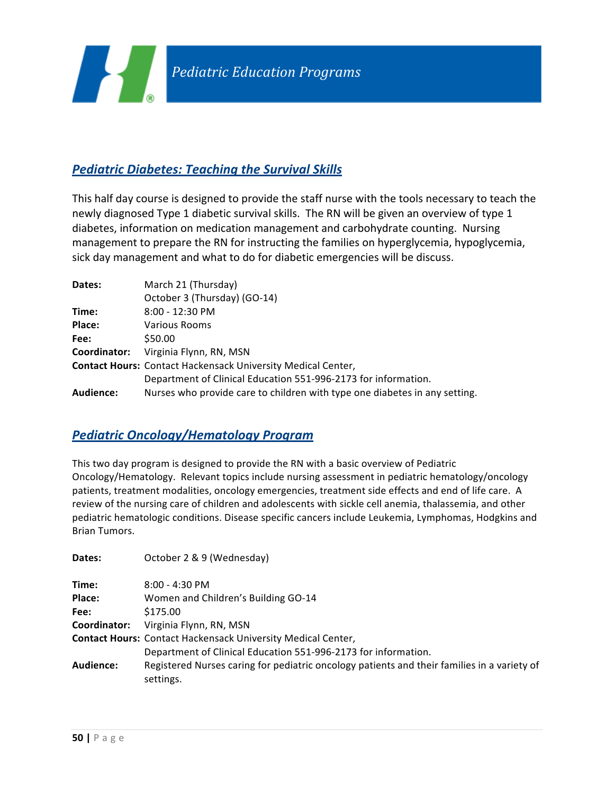

# **Pediatric Diabetes: Teaching the Survival Skills**

This half day course is designed to provide the staff nurse with the tools necessary to teach the newly diagnosed Type 1 diabetic survival skills. The RN will be given an overview of type 1 diabetes, information on medication management and carbohydrate counting. Nursing management to prepare the RN for instructing the families on hyperglycemia, hypoglycemia, sick day management and what to do for diabetic emergencies will be discuss.

| Dates:       | March 21 (Thursday)                                                        |
|--------------|----------------------------------------------------------------------------|
|              | October 3 (Thursday) (GO-14)                                               |
| Time:        | $8:00 - 12:30$ PM                                                          |
| Place:       | Various Rooms                                                              |
| Fee:         | \$50.00                                                                    |
| Coordinator: | Virginia Flynn, RN, MSN                                                    |
|              | <b>Contact Hours: Contact Hackensack University Medical Center,</b>        |
|              | Department of Clinical Education 551-996-2173 for information.             |
| Audience:    | Nurses who provide care to children with type one diabetes in any setting. |

### *Pediatric Oncology/Hematology Program*

This two day program is designed to provide the RN with a basic overview of Pediatric Oncology/Hematology. Relevant topics include nursing assessment in pediatric hematology/oncology patients, treatment modalities, oncology emergencies, treatment side effects and end of life care. A review of the nursing care of children and adolescents with sickle cell anemia, thalassemia, and other pediatric hematologic conditions. Disease specific cancers include Leukemia, Lymphomas, Hodgkins and Brian Tumors. 

| Dates:           | October 2 & 9 (Wednesday)                                                                                |
|------------------|----------------------------------------------------------------------------------------------------------|
| Time:            | $8:00 - 4:30$ PM                                                                                         |
| Place:           | Women and Children's Building GO-14                                                                      |
| Fee:             | \$175.00                                                                                                 |
| Coordinator:     | Virginia Flynn, RN, MSN                                                                                  |
|                  | Contact Hours: Contact Hackensack University Medical Center,                                             |
|                  | Department of Clinical Education 551-996-2173 for information.                                           |
| <b>Audience:</b> | Registered Nurses caring for pediatric oncology patients and their families in a variety of<br>settings. |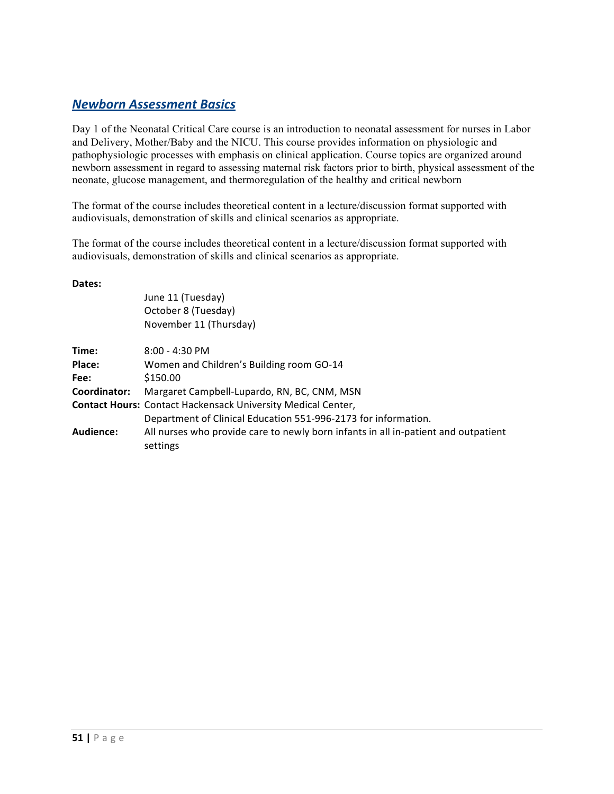#### *Newborn Assessment Basics*

Day 1 of the Neonatal Critical Care course is an introduction to neonatal assessment for nurses in Labor and Delivery, Mother/Baby and the NICU. This course provides information on physiologic and pathophysiologic processes with emphasis on clinical application. Course topics are organized around newborn assessment in regard to assessing maternal risk factors prior to birth, physical assessment of the neonate, glucose management, and thermoregulation of the healthy and critical newborn

The format of the course includes theoretical content in a lecture/discussion format supported with audiovisuals, demonstration of skills and clinical scenarios as appropriate.

The format of the course includes theoretical content in a lecture/discussion format supported with audiovisuals, demonstration of skills and clinical scenarios as appropriate.

#### **Dates:**

June 11 (Tuesday) October 8 (Tuesday) November 11 (Thursday)

| Time:        | $8:00 - 4:30$ PM                                                                   |
|--------------|------------------------------------------------------------------------------------|
| Place:       | Women and Children's Building room GO-14                                           |
| Fee:         | \$150.00                                                                           |
| Coordinator: | Margaret Campbell-Lupardo, RN, BC, CNM, MSN                                        |
|              | Contact Hours: Contact Hackensack University Medical Center,                       |
|              | Department of Clinical Education 551-996-2173 for information.                     |
| Audience:    | All nurses who provide care to newly born infants in all in-patient and outpatient |
|              | settings                                                                           |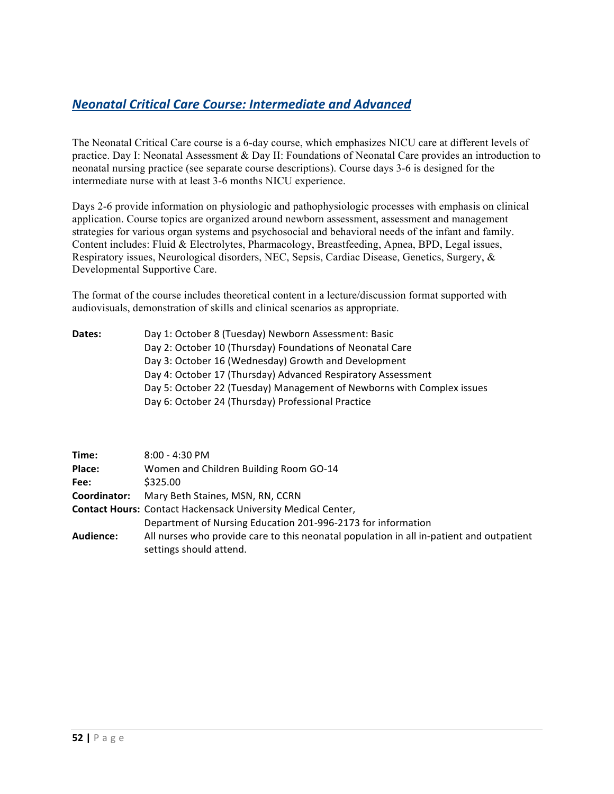# *Neonatal Critical Care Course: Intermediate and Advanced*

The Neonatal Critical Care course is a 6-day course, which emphasizes NICU care at different levels of practice. Day I: Neonatal Assessment & Day II: Foundations of Neonatal Care provides an introduction to neonatal nursing practice (see separate course descriptions). Course days 3-6 is designed for the intermediate nurse with at least 3-6 months NICU experience.

Days 2-6 provide information on physiologic and pathophysiologic processes with emphasis on clinical application. Course topics are organized around newborn assessment, assessment and management strategies for various organ systems and psychosocial and behavioral needs of the infant and family. Content includes: Fluid & Electrolytes, Pharmacology, Breastfeeding, Apnea, BPD, Legal issues, Respiratory issues, Neurological disorders, NEC, Sepsis, Cardiac Disease, Genetics, Surgery, & Developmental Supportive Care.

The format of the course includes theoretical content in a lecture/discussion format supported with audiovisuals, demonstration of skills and clinical scenarios as appropriate.

| Dates: | Day 1: October 8 (Tuesday) Newborn Assessment: Basic                   |
|--------|------------------------------------------------------------------------|
|        | Day 2: October 10 (Thursday) Foundations of Neonatal Care              |
|        | Day 3: October 16 (Wednesday) Growth and Development                   |
|        | Day 4: October 17 (Thursday) Advanced Respiratory Assessment           |
|        | Day 5: October 22 (Tuesday) Management of Newborns with Complex issues |
|        | Day 6: October 24 (Thursday) Professional Practice                     |
|        |                                                                        |

| Time:        | $8:00 - 4:30$ PM                                                                         |
|--------------|------------------------------------------------------------------------------------------|
| Place:       | Women and Children Building Room GO-14                                                   |
| Fee:         | \$325.00                                                                                 |
| Coordinator: | Mary Beth Staines, MSN, RN, CCRN                                                         |
|              | <b>Contact Hours: Contact Hackensack University Medical Center,</b>                      |
|              | Department of Nursing Education 201-996-2173 for information                             |
| Audience:    | All nurses who provide care to this neonatal population in all in-patient and outpatient |
|              | settings should attend.                                                                  |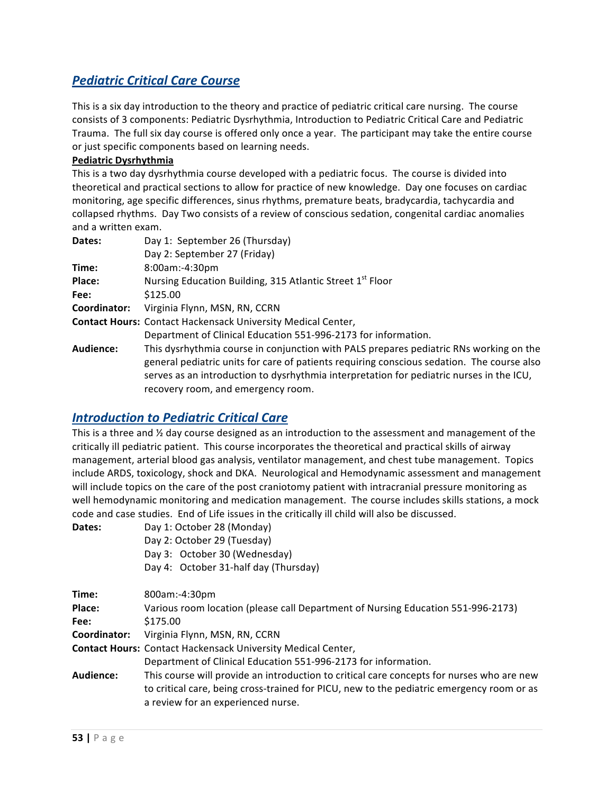# **Pediatric Critical Care Course**

This is a six day introduction to the theory and practice of pediatric critical care nursing. The course consists of 3 components: Pediatric Dysrhythmia, Introduction to Pediatric Critical Care and Pediatric Trauma. The full six day course is offered only once a year. The participant may take the entire course or just specific components based on learning needs.

#### **Pediatric Dysrhythmia**

This is a two day dysrhythmia course developed with a pediatric focus. The course is divided into theoretical and practical sections to allow for practice of new knowledge. Day one focuses on cardiac monitoring, age specific differences, sinus rhythms, premature beats, bradycardia, tachycardia and collapsed rhythms. Day Two consists of a review of conscious sedation, congenital cardiac anomalies and a written exam.

| Dates:       | Day 1: September 26 (Thursday)                                                                                                                                                                                                                                                                                         |
|--------------|------------------------------------------------------------------------------------------------------------------------------------------------------------------------------------------------------------------------------------------------------------------------------------------------------------------------|
|              | Day 2: September 27 (Friday)                                                                                                                                                                                                                                                                                           |
| Time:        | 8:00am:-4:30pm                                                                                                                                                                                                                                                                                                         |
| Place:       | Nursing Education Building, 315 Atlantic Street 1 <sup>st</sup> Floor                                                                                                                                                                                                                                                  |
| Fee:         | \$125.00                                                                                                                                                                                                                                                                                                               |
| Coordinator: | Virginia Flynn, MSN, RN, CCRN                                                                                                                                                                                                                                                                                          |
|              | <b>Contact Hours: Contact Hackensack University Medical Center,</b>                                                                                                                                                                                                                                                    |
|              | Department of Clinical Education 551-996-2173 for information.                                                                                                                                                                                                                                                         |
| Audience:    | This dysrhythmia course in conjunction with PALS prepares pediatric RNs working on the<br>general pediatric units for care of patients requiring conscious sedation. The course also<br>serves as an introduction to dysrhythmia interpretation for pediatric nurses in the ICU,<br>recovery room, and emergency room. |

#### **Introduction to Pediatric Critical Care**

This is a three and  $\frac{1}{2}$  day course designed as an introduction to the assessment and management of the critically ill pediatric patient. This course incorporates the theoretical and practical skills of airway management, arterial blood gas analysis, ventilator management, and chest tube management. Topics include ARDS, toxicology, shock and DKA. Neurological and Hemodynamic assessment and management will include topics on the care of the post craniotomy patient with intracranial pressure monitoring as well hemodynamic monitoring and medication management. The course includes skills stations, a mock code and case studies. End of Life issues in the critically ill child will also be discussed.

| Day 1: October 28 (Monday)            |
|---------------------------------------|
| Day 2: October 29 (Tuesday)           |
| Day 3: October 30 (Wednesday)         |
| Day 4: October 31-half day (Thursday) |
|                                       |

| Time:        | 800am:-4:30pm                                                                             |
|--------------|-------------------------------------------------------------------------------------------|
| Place:       | Various room location (please call Department of Nursing Education 551-996-2173)          |
| Fee:         | \$175.00                                                                                  |
| Coordinator: | Virginia Flynn, MSN, RN, CCRN                                                             |
|              | <b>Contact Hours: Contact Hackensack University Medical Center,</b>                       |
|              | Department of Clinical Education 551-996-2173 for information.                            |
| Audience:    | This course will provide an introduction to critical care concepts for nurses who are new |
|              | to critical care, being cross-trained for PICU, new to the pediatric emergency room or as |
|              | a review for an experienced nurse.                                                        |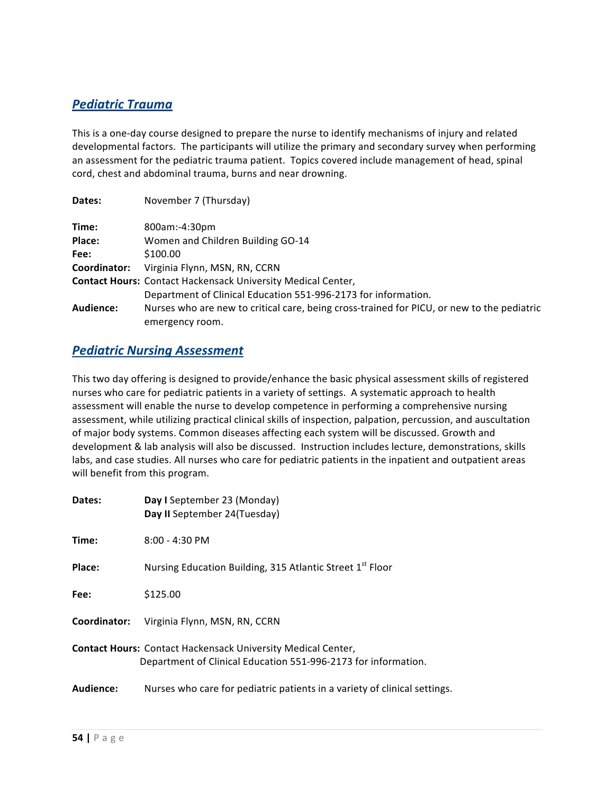### *Pediatric Trauma*

This is a one-day course designed to prepare the nurse to identify mechanisms of injury and related developmental factors. The participants will utilize the primary and secondary survey when performing an assessment for the pediatric trauma patient. Topics covered include management of head, spinal cord, chest and abdominal trauma, burns and near drowning.

| Dates:       | November 7 (Thursday)                                                                      |
|--------------|--------------------------------------------------------------------------------------------|
| Time:        | 800am:-4:30pm                                                                              |
| Place:       | Women and Children Building GO-14                                                          |
| Fee:         | \$100.00                                                                                   |
| Coordinator: | Virginia Flynn, MSN, RN, CCRN                                                              |
|              | <b>Contact Hours: Contact Hackensack University Medical Center,</b>                        |
|              | Department of Clinical Education 551-996-2173 for information.                             |
| Audience:    | Nurses who are new to critical care, being cross-trained for PICU, or new to the pediatric |
|              | emergency room.                                                                            |

#### **Pediatric Nursing Assessment**

This two day offering is designed to provide/enhance the basic physical assessment skills of registered nurses who care for pediatric patients in a variety of settings. A systematic approach to health assessment will enable the nurse to develop competence in performing a comprehensive nursing assessment, while utilizing practical clinical skills of inspection, palpation, percussion, and auscultation of major body systems. Common diseases affecting each system will be discussed. Growth and development & lab analysis will also be discussed. Instruction includes lecture, demonstrations, skills labs, and case studies. All nurses who care for pediatric patients in the inpatient and outpatient areas will benefit from this program.

| Dates:       | Day I September 23 (Monday)<br>Day II September 24(Tuesday)                                                                           |
|--------------|---------------------------------------------------------------------------------------------------------------------------------------|
| Time:        | $8:00 - 4:30$ PM                                                                                                                      |
| Place:       | Nursing Education Building, 315 Atlantic Street 1 <sup>st</sup> Floor                                                                 |
| Fee:         | \$125.00                                                                                                                              |
| Coordinator: | Virginia Flynn, MSN, RN, CCRN                                                                                                         |
|              | <b>Contact Hours: Contact Hackensack University Medical Center,</b><br>Department of Clinical Education 551-996-2173 for information. |
| Audience:    | Nurses who care for pediatric patients in a variety of clinical settings.                                                             |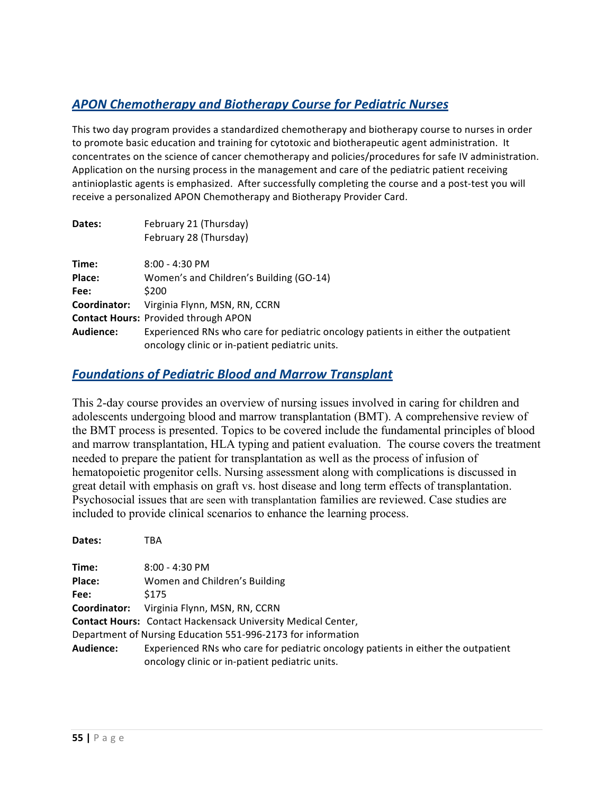# *APON Chemotherapy and Biotherapy Course for Pediatric Nurses*

This two day program provides a standardized chemotherapy and biotherapy course to nurses in order to promote basic education and training for cytotoxic and biotherapeutic agent administration. It concentrates on the science of cancer chemotherapy and policies/procedures for safe IV administration. Application on the nursing process in the management and care of the pediatric patient receiving antinioplastic agents is emphasized. After successfully completing the course and a post-test you will receive a personalized APON Chemotherapy and Biotherapy Provider Card.

| Dates:       | February 21 (Thursday)                                                                                                              |
|--------------|-------------------------------------------------------------------------------------------------------------------------------------|
|              | February 28 (Thursday)                                                                                                              |
| Time:        | $8:00 - 4:30$ PM                                                                                                                    |
| Place:       | Women's and Children's Building (GO-14)                                                                                             |
| Fee:         | \$200                                                                                                                               |
| Coordinator: | Virginia Flynn, MSN, RN, CCRN                                                                                                       |
|              | <b>Contact Hours: Provided through APON</b>                                                                                         |
| Audience:    | Experienced RNs who care for pediatric oncology patients in either the outpatient<br>oncology clinic or in-patient pediatric units. |

#### *Foundations of Pediatric Blood and Marrow Transplant*

This 2-day course provides an overview of nursing issues involved in caring for children and adolescents undergoing blood and marrow transplantation (BMT). A comprehensive review of the BMT process is presented. Topics to be covered include the fundamental principles of blood and marrow transplantation, HLA typing and patient evaluation. The course covers the treatment needed to prepare the patient for transplantation as well as the process of infusion of hematopoietic progenitor cells. Nursing assessment along with complications is discussed in great detail with emphasis on graft vs. host disease and long term effects of transplantation. Psychosocial issues that are seen with transplantation families are reviewed. Case studies are included to provide clinical scenarios to enhance the learning process.

| Dates:           | TBA                                                                                                                                 |
|------------------|-------------------------------------------------------------------------------------------------------------------------------------|
| Time:            | $8:00 - 4:30$ PM                                                                                                                    |
| Place:           | Women and Children's Building                                                                                                       |
| Fee:             | \$175                                                                                                                               |
| Coordinator:     | Virginia Flynn, MSN, RN, CCRN                                                                                                       |
|                  | <b>Contact Hours: Contact Hackensack University Medical Center,</b>                                                                 |
|                  | Department of Nursing Education 551-996-2173 for information                                                                        |
| <b>Audience:</b> | Experienced RNs who care for pediatric oncology patients in either the outpatient<br>oncology clinic or in-patient pediatric units. |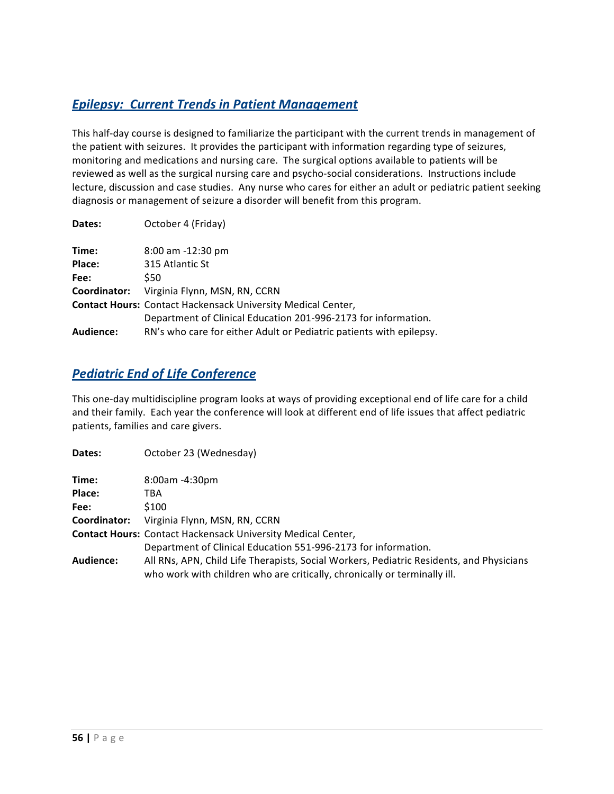# *<u>Epilepsy: Current Trends in Patient Management</u>*

This half-day course is designed to familiarize the participant with the current trends in management of the patient with seizures. It provides the participant with information regarding type of seizures, monitoring and medications and nursing care. The surgical options available to patients will be reviewed as well as the surgical nursing care and psycho-social considerations. Instructions include lecture, discussion and case studies. Any nurse who cares for either an adult or pediatric patient seeking diagnosis or management of seizure a disorder will benefit from this program.

| Dates:       | October 4 (Friday)                                                  |
|--------------|---------------------------------------------------------------------|
| Time:        | $8:00$ am $-12:30$ pm                                               |
| Place:       | 315 Atlantic St                                                     |
| Fee:         | S50                                                                 |
| Coordinator: | Virginia Flynn, MSN, RN, CCRN                                       |
|              | <b>Contact Hours: Contact Hackensack University Medical Center,</b> |
|              | Department of Clinical Education 201-996-2173 for information.      |
| Audience:    | RN's who care for either Adult or Pediatric patients with epilepsy. |

### **Pediatric End of Life Conference**

This one-day multidiscipline program looks at ways of providing exceptional end of life care for a child and their family. Each year the conference will look at different end of life issues that affect pediatric patients, families and care givers.

| Dates:       | October 23 (Wednesday)                                                                                                                                                |
|--------------|-----------------------------------------------------------------------------------------------------------------------------------------------------------------------|
| Time:        | $8:00$ am -4:30pm                                                                                                                                                     |
| Place:       | TBA                                                                                                                                                                   |
| Fee:         | \$100                                                                                                                                                                 |
| Coordinator: | Virginia Flynn, MSN, RN, CCRN                                                                                                                                         |
|              | <b>Contact Hours: Contact Hackensack University Medical Center,</b>                                                                                                   |
|              | Department of Clinical Education 551-996-2173 for information.                                                                                                        |
| Audience:    | All RNs, APN, Child Life Therapists, Social Workers, Pediatric Residents, and Physicians<br>who work with children who are critically, chronically or terminally ill. |